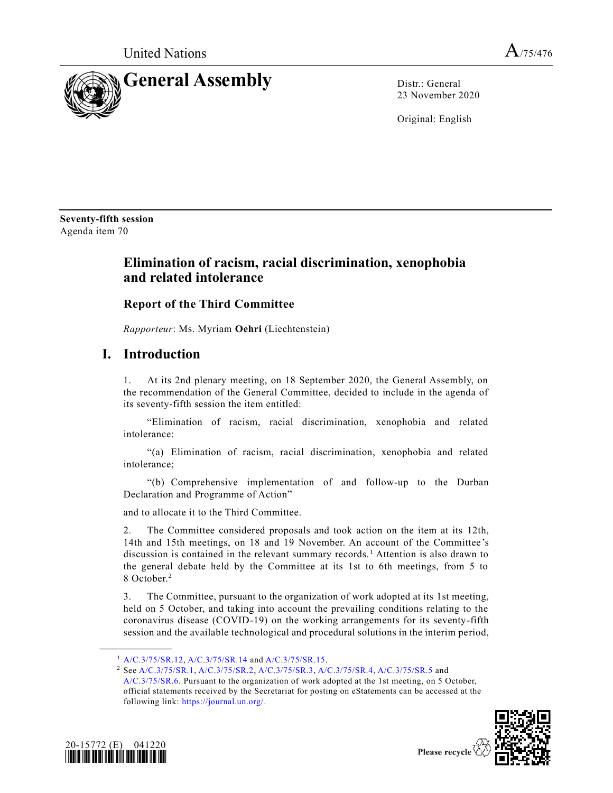

23 November 2020

Original: English

**Seventy-fifth session** Agenda item 70

# **Elimination of racism, racial discrimination, xenophobia and related intolerance**

# **Report of the Third Committee**

*Rapporteur*: Ms. Myriam **Oehri** (Liechtenstein)

# **I. Introduction**

1. At its 2nd plenary meeting, on 18 September 2020, the General Assembly, on the recommendation of the General Committee, decided to include in the agenda of its seventy-fifth session the item entitled:

"Elimination of racism, racial discrimination, xenophobia and related intolerance:

"(a) Elimination of racism, racial discrimination, xenophobia and related intolerance;

"(b) Comprehensive implementation of and follow-up to the Durban Declaration and Programme of Action"

and to allocate it to the Third Committee.

2. The Committee considered proposals and took action on the item at its 12th, 14th and 15th meetings, on 18 and 19 November. An account of the Committee's discussion is contained in the relevant summary records. <sup>1</sup> Attention is also drawn to the general debate held by the Committee at its 1st to 6th meetings, from 5 to 8 October.<sup>2</sup>

3. The Committee, pursuant to the organization of work adopted at its 1st meeting, held on 5 October, and taking into account the prevailing conditions relating to the coronavirus disease (COVID-19) on the working arrangements for its seventy-fifth session and the available technological and procedural solutions in the interim period,

[A/C.3/75/SR.6.](https://undocs.org/en/A/C.3/75/SR.6) Pursuant to the organization of work adopted at the 1st meeting, on 5 October, official statements received by the Secretariat for posting on eStatements can be accessed at the following link: [https://journal.un.org/.](https://journal.un.org/)





<sup>1</sup> [A/C.3/75/SR.12,](https://undocs.org/en/A/C.3/75/SR.12) [A/C.3/75/SR.14](https://undocs.org/en/A/C.3/75/SR.14) and [A/C.3/75/SR.15.](https://undocs.org/en/A/C.3/75/SR.15)

<sup>2</sup> Se[e A/C.3/75/SR.1,](https://undocs.org/en/A/C.3/75/SR.1) [A/C.3/75/SR.2,](https://undocs.org/en/A/C.3/75/SR.2) [A/C.3/75/SR.3,](https://undocs.org/en/A/C.3/75/SR.3) [A/C.3/75/SR.4,](https://undocs.org/en/A/C.3/75/SR.4) [A/C.3/75/SR.5](https://undocs.org/en/A/C.3/75/SR.5) and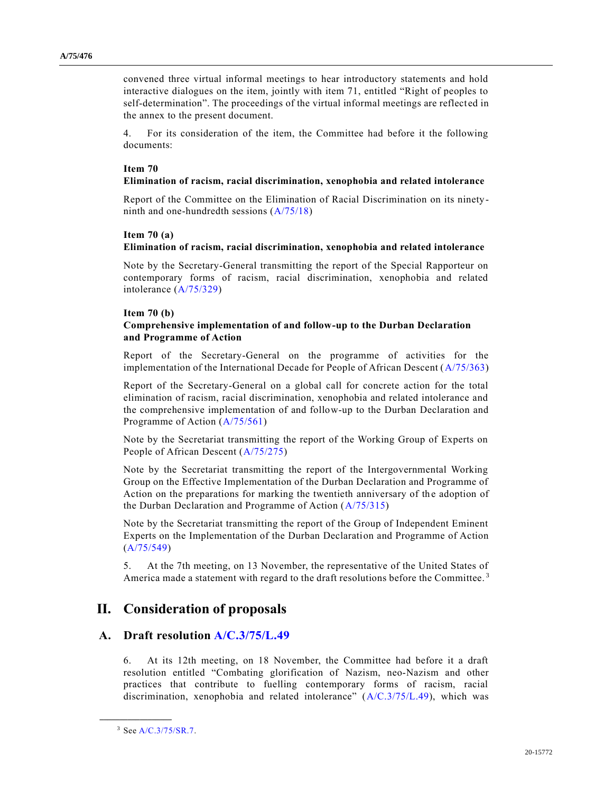convened three virtual informal meetings to hear introductory statements and hold interactive dialogues on the item, jointly with item 71, entitled "Right of peoples to self-determination". The proceedings of the virtual informal meetings are reflected in the annex to the present document.

4. For its consideration of the item, the Committee had before it the following documents:

#### **Item 70**

## **Elimination of racism, racial discrimination, xenophobia and related intolerance**

Report of the Committee on the Elimination of Racial Discrimination on its ninety ninth and one-hundredth sessions [\(A/75/18\)](https://undocs.org/en/A/75/18)

#### **Item 70 (a)**

# **Elimination of racism, racial discrimination, xenophobia and related intolerance**

Note by the Secretary-General transmitting the report of the Special Rapporteur on contemporary forms of racism, racial discrimination, xenophobia and related intolerance [\(A/75/329\)](https://undocs.org/en/A/75/329)

#### **Item 70 (b)**

## **Comprehensive implementation of and follow-up to the Durban Declaration and Programme of Action**

Report of the Secretary-General on the programme of activities for the implementation of the International Decade for People of African Descent [\(A/75/363\)](https://undocs.org/en/A/75/363)

Report of the Secretary-General on a global call for concrete action for the total elimination of racism, racial discrimination, xenophobia and related intolerance and the comprehensive implementation of and follow-up to the Durban Declaration and Programme of Action [\(A/75/561\)](https://undocs.org/en/A/75/561)

Note by the Secretariat transmitting the report of the Working Group of Experts on People of African Descent [\(A/75/275\)](https://undocs.org/en/A/75/275)

Note by the Secretariat transmitting the report of the Intergovernmental Working Group on the Effective Implementation of the Durban Declaration and Programme of Action on the preparations for marking the twentieth anniversary of the adoption of the Durban Declaration and Programme of Action [\(A/75/315\)](https://undocs.org/en/A/75/315)

Note by the Secretariat transmitting the report of the Group of Independent Eminent Experts on the Implementation of the Durban Declaration and Programme of Action [\(A/75/549\)](https://undocs.org/en/A/75/549)

5. At the 7th meeting, on 13 November, the representative of the United States of America made a statement with regard to the draft resolutions before the Committee.<sup>3</sup>

# **II. Consideration of proposals**

# **A. Draft resolution [A/C.3/75/L.49](https://undocs.org/en/A/C.3/75/L.49)**

6. At its 12th meeting, on 18 November, the Committee had before it a draft resolution entitled "Combating glorification of Nazism, neo-Nazism and other practices that contribute to fuelling contemporary forms of racism, racial discrimination, xenophobia and related intolerance" [\(A/C.3/75/L.49\)](https://undocs.org/en/A/C.3/75/L.49), which was

<sup>3</sup> Se[e A/C.3/75/SR.7.](https://undocs.org/en/A/C.3/75/SR.7)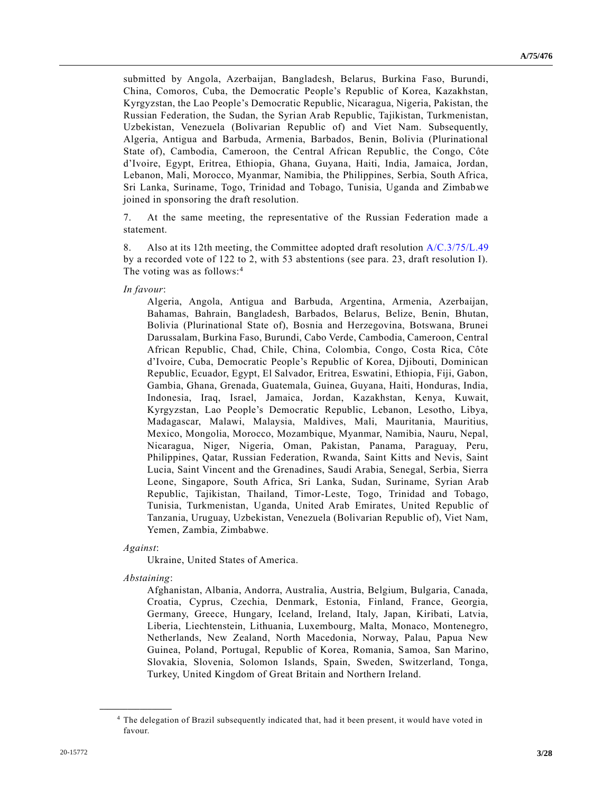submitted by Angola, Azerbaijan, Bangladesh, Belarus, Burkina Faso, Burundi, China, Comoros, Cuba, the Democratic People's Republic of Korea, Kazakhstan, Kyrgyzstan, the Lao People's Democratic Republic, Nicaragua, Nigeria, Pakistan, the Russian Federation, the Sudan, the Syrian Arab Republic, Tajikistan, Turkmenistan, Uzbekistan, Venezuela (Bolivarian Republic of) and Viet Nam. Subsequently, Algeria, Antigua and Barbuda, Armenia, Barbados, Benin, Bolivia (Plurinational State of), Cambodia, Cameroon, the Central African Republic, the Congo, Côte d'Ivoire, Egypt, Eritrea, Ethiopia, Ghana, Guyana, Haiti, India, Jamaica, Jordan, Lebanon, Mali, Morocco, Myanmar, Namibia, the Philippines, Serbia, South Africa, Sri Lanka, Suriname, Togo, Trinidad and Tobago, Tunisia, Uganda and Zimbabwe joined in sponsoring the draft resolution.

7. At the same meeting, the representative of the Russian Federation made a statement.

8. Also at its 12th meeting, the Committee adopted draft resolution [A/C.3/75/L.49](https://undocs.org/en/A/C.3/75/L.49) by a recorded vote of 122 to 2, with 53 abstentions (see para. 23, draft resolution I). The voting was as follows:<sup>4</sup>

#### *In favour*:

Algeria, Angola, Antigua and Barbuda, Argentina, Armenia, Azerbaijan, Bahamas, Bahrain, Bangladesh, Barbados, Belarus, Belize, Benin, Bhutan, Bolivia (Plurinational State of), Bosnia and Herzegovina, Botswana, Brunei Darussalam, Burkina Faso, Burundi, Cabo Verde, Cambodia, Cameroon, Central African Republic, Chad, Chile, China, Colombia, Congo, Costa Rica, Côte d'Ivoire, Cuba, Democratic People's Republic of Korea, Djibouti, Dominican Republic, Ecuador, Egypt, El Salvador, Eritrea, Eswatini, Ethiopia, Fiji, Gabon, Gambia, Ghana, Grenada, Guatemala, Guinea, Guyana, Haiti, Honduras, India, Indonesia, Iraq, Israel, Jamaica, Jordan, Kazakhstan, Kenya, Kuwait, Kyrgyzstan, Lao People's Democratic Republic, Lebanon, Lesotho, Libya, Madagascar, Malawi, Malaysia, Maldives, Mali, Mauritania, Mauritius, Mexico, Mongolia, Morocco, Mozambique, Myanmar, Namibia, Nauru, Nepal, Nicaragua, Niger, Nigeria, Oman, Pakistan, Panama, Paraguay, Peru, Philippines, Qatar, Russian Federation, Rwanda, Saint Kitts and Nevis, Saint Lucia, Saint Vincent and the Grenadines, Saudi Arabia, Senegal, Serbia, Sierra Leone, Singapore, South Africa, Sri Lanka, Sudan, Suriname, Syrian Arab Republic, Tajikistan, Thailand, Timor-Leste, Togo, Trinidad and Tobago, Tunisia, Turkmenistan, Uganda, United Arab Emirates, United Republic of Tanzania, Uruguay, Uzbekistan, Venezuela (Bolivarian Republic of), Viet Nam, Yemen, Zambia, Zimbabwe.

#### *Against*:

Ukraine, United States of America.

*Abstaining*:

**\_\_\_\_\_\_\_\_\_\_\_\_\_\_\_\_\_\_**

Afghanistan, Albania, Andorra, Australia, Austria, Belgium, Bulgaria, Canada, Croatia, Cyprus, Czechia, Denmark, Estonia, Finland, France, Georgia, Germany, Greece, Hungary, Iceland, Ireland, Italy, Japan, Kiribati, Latvia, Liberia, Liechtenstein, Lithuania, Luxembourg, Malta, Monaco, Montenegro, Netherlands, New Zealand, North Macedonia, Norway, Palau, Papua New Guinea, Poland, Portugal, Republic of Korea, Romania, Samoa, San Marino, Slovakia, Slovenia, Solomon Islands, Spain, Sweden, Switzerland, Tonga, Turkey, United Kingdom of Great Britain and Northern Ireland.

<sup>4</sup> The delegation of Brazil subsequently indicated that, had it been present, it would have voted in favour.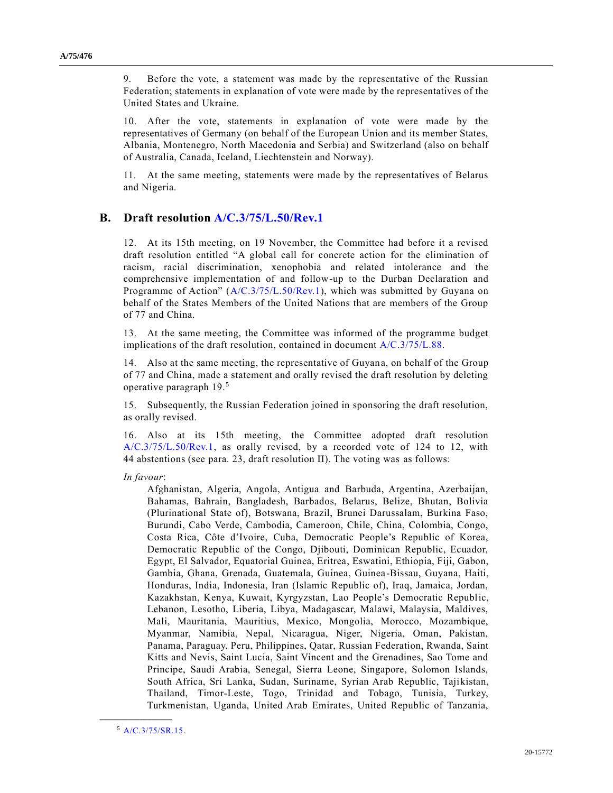9. Before the vote, a statement was made by the representative of the Russian Federation; statements in explanation of vote were made by the representatives of the United States and Ukraine.

10. After the vote, statements in explanation of vote were made by the representatives of Germany (on behalf of the European Union and its member States, Albania, Montenegro, North Macedonia and Serbia) and Switzerland (also on behalf of Australia, Canada, Iceland, Liechtenstein and Norway).

11. At the same meeting, statements were made by the representatives of Belarus and Nigeria.

# **B. Draft resolution [A/C.3/75/L.50/Rev.1](https://undocs.org/en/A/C.3/75/L.50/Rev.1)**

12. At its 15th meeting, on 19 November, the Committee had before it a revised draft resolution entitled "A global call for concrete action for the elimination of racism, racial discrimination, xenophobia and related intolerance and the comprehensive implementation of and follow-up to the Durban Declaration and Programme of Action" [\(A/C.3/75/L.50/Rev.1\)](https://undocs.org/en/A/C.3/75/L.50/Rev.1), which was submitted by Guyana on behalf of the States Members of the United Nations that are members of the Group of 77 and China.

13. At the same meeting, the Committee was informed of the programme budget implications of the draft resolution, contained in document [A/C.3/75/L.88.](https://undocs.org/en/A/C.3/75/L.88)

14. Also at the same meeting, the representative of Guyana, on behalf of the Group of 77 and China, made a statement and orally revised the draft resolution by deleting operative paragraph 19.<sup>5</sup>

15. Subsequently, the Russian Federation joined in sponsoring the draft resolution, as orally revised.

16. Also at its 15th meeting, the Committee adopted draft resolution [A/C.3/75/L.50/Rev.1,](https://undocs.org/en/A/C.3/75/L.50/Rev.1) as orally revised, by a recorded vote of 124 to 12, with 44 abstentions (see para. 23, draft resolution II). The voting was as follows:

*In favour*:

Afghanistan, Algeria, Angola, Antigua and Barbuda, Argentina, Azerbaijan, Bahamas, Bahrain, Bangladesh, Barbados, Belarus, Belize, Bhutan, Bolivia (Plurinational State of), Botswana, Brazil, Brunei Darussalam, Burkina Faso, Burundi, Cabo Verde, Cambodia, Cameroon, Chile, China, Colombia, Congo, Costa Rica, Côte d'Ivoire, Cuba, Democratic People's Republic of Korea, Democratic Republic of the Congo, Djibouti, Dominican Republic, Ecuador, Egypt, El Salvador, Equatorial Guinea, Eritrea, Eswatini, Ethiopia, Fiji, Gabon, Gambia, Ghana, Grenada, Guatemala, Guinea, Guinea-Bissau, Guyana, Haiti, Honduras, India, Indonesia, Iran (Islamic Republic of), Iraq, Jamaica, Jordan, Kazakhstan, Kenya, Kuwait, Kyrgyzstan, Lao People's Democratic Republic, Lebanon, Lesotho, Liberia, Libya, Madagascar, Malawi, Malaysia, Maldives, Mali, Mauritania, Mauritius, Mexico, Mongolia, Morocco, Mozambique, Myanmar, Namibia, Nepal, Nicaragua, Niger, Nigeria, Oman, Pakistan, Panama, Paraguay, Peru, Philippines, Qatar, Russian Federation, Rwanda, Saint Kitts and Nevis, Saint Lucia, Saint Vincent and the Grenadines, Sao Tome and Principe, Saudi Arabia, Senegal, Sierra Leone, Singapore, Solomon Islands, South Africa, Sri Lanka, Sudan, Suriname, Syrian Arab Republic, Tajikistan, Thailand, Timor-Leste, Togo, Trinidad and Tobago, Tunisia, Turkey, Turkmenistan, Uganda, United Arab Emirates, United Republic of Tanzania,

<sup>5</sup> [A/C.3/75/SR.15.](https://undocs.org/en/A/C.3/75/SR.15)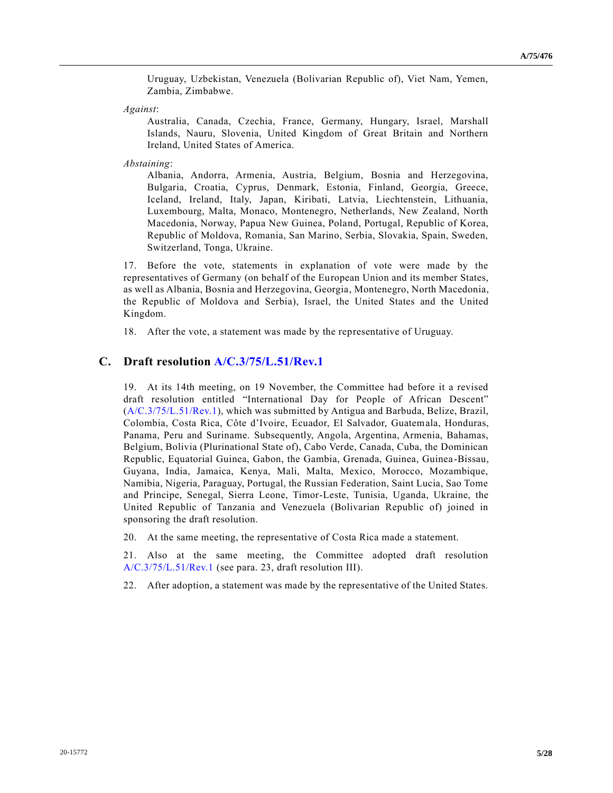Uruguay, Uzbekistan, Venezuela (Bolivarian Republic of), Viet Nam, Yemen, Zambia, Zimbabwe.

*Against*:

Australia, Canada, Czechia, France, Germany, Hungary, Israel, Marshall Islands, Nauru, Slovenia, United Kingdom of Great Britain and Northern Ireland, United States of America.

*Abstaining*:

Albania, Andorra, Armenia, Austria, Belgium, Bosnia and Herzegovina, Bulgaria, Croatia, Cyprus, Denmark, Estonia, Finland, Georgia, Greece, Iceland, Ireland, Italy, Japan, Kiribati, Latvia, Liechtenstein, Lithuania, Luxembourg, Malta, Monaco, Montenegro, Netherlands, New Zealand, North Macedonia, Norway, Papua New Guinea, Poland, Portugal, Republic of Korea, Republic of Moldova, Romania, San Marino, Serbia, Slovakia, Spain, Sweden, Switzerland, Tonga, Ukraine.

17. Before the vote, statements in explanation of vote were made by the representatives of Germany (on behalf of the European Union and its member States, as well as Albania, Bosnia and Herzegovina, Georgia, Montenegro, North Macedonia, the Republic of Moldova and Serbia), Israel, the United States and the United Kingdom.

18. After the vote, a statement was made by the representative of Uruguay.

## **C. Draft resolution [A/C.3/75/L.51/Rev.1](https://undocs.org/en/A/C.3/75/L.51/Rev.1)**

19. At its 14th meeting, on 19 November, the Committee had before it a revised draft resolution entitled "International Day for People of African Descent" [\(A/C.3/75/L.51/Rev.1\)](https://undocs.org/en/A/C.3/75/L.51/Rev.1), which was submitted by Antigua and Barbuda, Belize, Brazil, Colombia, Costa Rica, Côte d'Ivoire, Ecuador, El Salvador, Guatemala, Honduras, Panama, Peru and Suriname. Subsequently, Angola, Argentina, Armenia, Bahamas, Belgium, Bolivia (Plurinational State of), Cabo Verde, Canada, Cuba, the Dominican Republic, Equatorial Guinea, Gabon, the Gambia, Grenada, Guinea, Guinea-Bissau, Guyana, India, Jamaica, Kenya, Mali, Malta, Mexico, Morocco, Mozambique, Namibia, Nigeria, Paraguay, Portugal, the Russian Federation, Saint Lucia, Sao Tome and Principe, Senegal, Sierra Leone, Timor-Leste, Tunisia, Uganda, Ukraine, the United Republic of Tanzania and Venezuela (Bolivarian Republic of) joined in sponsoring the draft resolution.

20. At the same meeting, the representative of Costa Rica made a statement.

21. Also at the same meeting, the Committee adopted draft resolution [A/C.3/75/L.51/Rev.1](https://undocs.org/en/A/C.3/75/L.51/Rev.1) (see para. 23, draft resolution III).

22. After adoption, a statement was made by the representative of the United States.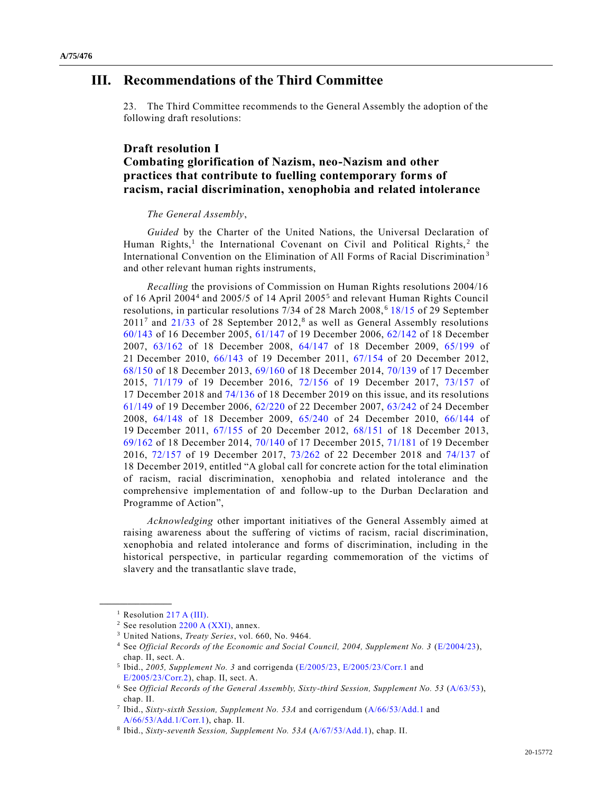# **III. Recommendations of the Third Committee**

23. The Third Committee recommends to the General Assembly the adoption of the following draft resolutions:

# **Draft resolution I Combating glorification of Nazism, neo-Nazism and other practices that contribute to fuelling contemporary forms of racism, racial discrimination, xenophobia and related intolerance**

### *The General Assembly*,

*Guided* by the Charter of the United Nations, the Universal Declaration of Human Rights,<sup>1</sup> the International Covenant on Civil and Political Rights,<sup>2</sup> the International Convention on the Elimination of All Forms of Racial Discrimination <sup>3</sup> and other relevant human rights instruments,

*Recalling* the provisions of Commission on Human Rights resolutions 2004/16 of 16 April 2004<sup>4</sup> and 2005/5 of 14 April 2005<sup>5</sup> and relevant Human Rights Council resolutions, in particular resolutions 7/34 of 28 March 2008, <sup>6</sup> [18/15](https://undocs.org/en/A/HRC/RES/18/15) of 29 September  $2011<sup>7</sup>$  and  $21/33$  of 28 September  $2012<sup>8</sup>$  as well as General Assembly resolutions [60/143](https://undocs.org/en/A/RES/60/143) of 16 December 2005, [61/147](https://undocs.org/en/A/RES/61/147) of 19 December 2006, [62/142](https://undocs.org/en/A/RES/62/142) of 18 December 2007, [63/162](https://undocs.org/en/A/RES/63/162) of 18 December 2008, [64/147](https://undocs.org/en/A/RES/64/147) of 18 December 2009, [65/199](https://undocs.org/en/A/RES/65/199) of 21 December 2010, [66/143](https://undocs.org/en/A/RES/66/143) of 19 December 2011, [67/154](https://undocs.org/en/A/RES/67/154) of 20 December 2012, [68/150](https://undocs.org/en/A/RES/68/150) of 18 December 2013, [69/160](https://undocs.org/en/A/RES/69/160) of 18 December 2014, [70/139](https://undocs.org/en/A/RES/70/139) of 17 December 2015, [71/179](https://undocs.org/en/A/RES/71/179) of 19 December 2016, [72/156](https://undocs.org/en/A/RES/72/156) of 19 December 2017, [73/157](https://undocs.org/en/A/RES/73/157) of 17 December 2018 and [74/136](https://undocs.org/en/A/RES/74/136) of 18 December 2019 on this issue, and its resolutions [61/149](https://undocs.org/en/A/RES/61/149) of 19 December 2006, [62/220](https://undocs.org/en/A/RES/62/220) of 22 December 2007, [63/242](https://undocs.org/en/A/RES/63/242) of 24 December 2008, [64/148](https://undocs.org/en/A/RES/64/148) of 18 December 2009, [65/240](https://undocs.org/en/A/RES/65/240) of 24 December 2010, [66/144](https://undocs.org/en/A/RES/66/144) of 19 December 2011, [67/155](https://undocs.org/en/A/RES/67/155) of 20 December 2012, [68/151](https://undocs.org/en/A/RES/68/151) of 18 December 2013, [69/162](https://undocs.org/en/A/RES/69/162) of 18 December 2014, [70/140](https://undocs.org/en/A/RES/70/140) of 17 December 2015, [71/181](https://undocs.org/en/A/RES/71/181) of 19 December 2016, [72/157](https://undocs.org/en/A/RES/72/157) of 19 December 2017, [73/262](https://undocs.org/en/A/RES/73/262) of 22 December 2018 and [74/137](https://undocs.org/en/A/RES/74/137) of 18 December 2019, entitled "A global call for concrete action for the total elimination of racism, racial discrimination, xenophobia and related intolerance and the comprehensive implementation of and follow-up to the Durban Declaration and Programme of Action",

*Acknowledging* other important initiatives of the General Assembly aimed at raising awareness about the suffering of victims of racism, racial discrimination, xenophobia and related intolerance and forms of discrimination, including in the historical perspective, in particular regarding commemoration of the victims of slavery and the transatlantic slave trade,

<sup>&</sup>lt;sup>1</sup> Resolution [217 A \(III\).](https://undocs.org/en/A/RES/217(III))

 $2$  See resolution [2200 A \(XXI\),](https://undocs.org/en/A/RES/2200(XXI)) annex.

<sup>3</sup> United Nations, *Treaty Series*, vol. 660, No. 9464.

<sup>4</sup> See *Official Records of the Economic and Social Council, 2004, Supplement No. 3* [\(E/2004/23\)](https://undocs.org/en/E/2004/23(SUPP)), chap. II, sect. A.

<sup>&</sup>lt;sup>5</sup> Ibid., *2005, Supplement No. 3* and corrigenda [\(E/2005/23,](https://undocs.org/en/E/2005/23(SUPP)) [E/2005/23/Corr.1](https://undocs.org/en/E/2005/23/Corr.1(SUPP)) and [E/2005/23/Corr.2\)](https://undocs.org/en/E/2005/23/Corr.2(SUPP)), chap. II, sect. A.

<sup>6</sup> See *Official Records of the General Assembly, Sixty-third Session, Supplement No. 53* [\(A/63/53\)](https://undocs.org/en/A/63/53), chap. II.

<sup>7</sup> Ibid., *Sixty-sixth Session, Supplement No. 53A* and corrigendum [\(A/66/53/Add.1](https://undocs.org/en/A/66/53/Add.1) and [A/66/53/Add.1/Corr.1\)](https://undocs.org/en/A/66/53/Add.1/Corr.1), chap. II.

<sup>8</sup> Ibid., *Sixty-seventh Session, Supplement No. 53A* [\(A/67/53/Add.1\)](https://undocs.org/en/A/67/53/Add.1), chap. II.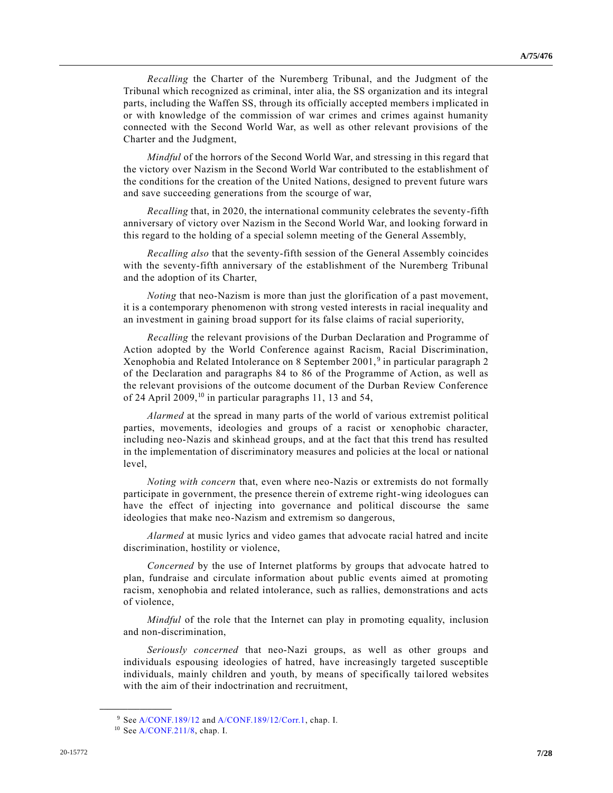*Recalling* the Charter of the Nuremberg Tribunal, and the Judgment of the Tribunal which recognized as criminal, inter alia, the SS organization and its integral parts, including the Waffen SS, through its officially accepted members implicated in or with knowledge of the commission of war crimes and crimes against humanity connected with the Second World War, as well as other relevant provisions of the Charter and the Judgment,

*Mindful* of the horrors of the Second World War, and stressing in this regard that the victory over Nazism in the Second World War contributed to the establishment of the conditions for the creation of the United Nations, designed to prevent future wars and save succeeding generations from the scourge of war,

*Recalling* that, in 2020, the international community celebrates the seventy-fifth anniversary of victory over Nazism in the Second World War, and looking forward in this regard to the holding of a special solemn meeting of the General Assembly,

*Recalling also* that the seventy-fifth session of the General Assembly coincides with the seventy-fifth anniversary of the establishment of the Nuremberg Tribunal and the adoption of its Charter,

*Noting* that neo-Nazism is more than just the glorification of a past movement, it is a contemporary phenomenon with strong vested interests in racial inequality and an investment in gaining broad support for its false claims of racial superiority,

*Recalling* the relevant provisions of the Durban Declaration and Programme of Action adopted by the World Conference against Racism, Racial Discrimination, Xenophobia and Related Intolerance on 8 September 2001,<sup>9</sup> in particular paragraph 2 of the Declaration and paragraphs 84 to 86 of the Programme of Action, as well as the relevant provisions of the outcome document of the Durban Review Conference of 24 April 2009,<sup>10</sup> in particular paragraphs 11, 13 and 54,

*Alarmed* at the spread in many parts of the world of various extremist political parties, movements, ideologies and groups of a racist or xenophobic character, including neo-Nazis and skinhead groups, and at the fact that this trend has resulted in the implementation of discriminatory measures and policies at the local or national level,

*Noting with concern* that, even where neo-Nazis or extremists do not formally participate in government, the presence therein of extreme right-wing ideologues can have the effect of injecting into governance and political discourse the same ideologies that make neo-Nazism and extremism so dangerous,

*Alarmed* at music lyrics and video games that advocate racial hatred and incite discrimination, hostility or violence,

*Concerned* by the use of Internet platforms by groups that advocate hatred to plan, fundraise and circulate information about public events aimed at promoting racism, xenophobia and related intolerance, such as rallies, demonstrations and acts of violence,

*Mindful* of the role that the Internet can play in promoting equality, inclusion and non-discrimination,

*Seriously concerned* that neo-Nazi groups, as well as other groups and individuals espousing ideologies of hatred, have increasingly targeted susceptible individuals, mainly children and youth, by means of specifically tailored websites with the aim of their indoctrination and recruitment,

<sup>9</sup> Se[e A/CONF.189/12](https://undocs.org/en/A/CONF.189/12) an[d A/CONF.189/12/Corr.1,](https://undocs.org/en/A/CONF.189/12/Corr.1) chap. I.

<sup>10</sup> Se[e A/CONF.211/8,](https://undocs.org/en/A/CONF.211/8) chap. I.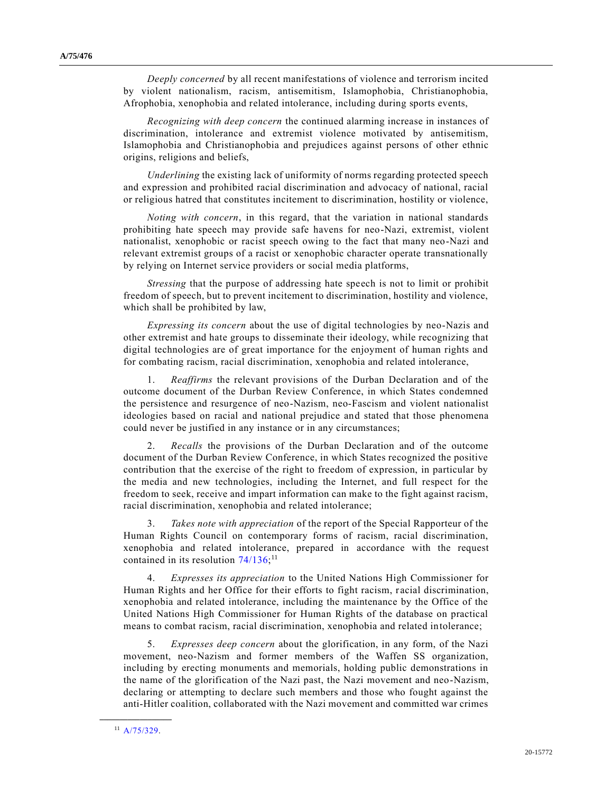*Deeply concerned* by all recent manifestations of violence and terrorism incited by violent nationalism, racism, antisemitism, Islamophobia, Christianophobia, Afrophobia, xenophobia and related intolerance, including during sports events,

*Recognizing with deep concern* the continued alarming increase in instances of discrimination, intolerance and extremist violence motivated by antisemitism, Islamophobia and Christianophobia and prejudices against persons of other ethnic origins, religions and beliefs,

*Underlining* the existing lack of uniformity of norms regarding protected speech and expression and prohibited racial discrimination and advocacy of national, racial or religious hatred that constitutes incitement to discrimination, hostility or violence,

*Noting with concern*, in this regard, that the variation in national standards prohibiting hate speech may provide safe havens for neo-Nazi, extremist, violent nationalist, xenophobic or racist speech owing to the fact that many neo-Nazi and relevant extremist groups of a racist or xenophobic character operate transnationally by relying on Internet service providers or social media platforms,

*Stressing* that the purpose of addressing hate speech is not to limit or prohibit freedom of speech, but to prevent incitement to discrimination, hostility and violence, which shall be prohibited by law,

*Expressing its concern* about the use of digital technologies by neo-Nazis and other extremist and hate groups to disseminate their ideology, while recognizing that digital technologies are of great importance for the enjoyment of human rights and for combating racism, racial discrimination, xenophobia and related intolerance,

1. *Reaffirms* the relevant provisions of the Durban Declaration and of the outcome document of the Durban Review Conference, in which States condemned the persistence and resurgence of neo-Nazism, neo-Fascism and violent nationalist ideologies based on racial and national prejudice and stated that those phenomena could never be justified in any instance or in any circumstances;

2. *Recalls* the provisions of the Durban Declaration and of the outcome document of the Durban Review Conference, in which States recognized the positive contribution that the exercise of the right to freedom of expression, in particular by the media and new technologies, including the Internet, and full respect for the freedom to seek, receive and impart information can make to the fight against racism, racial discrimination, xenophobia and related intolerance;

3. *Takes note with appreciation* of the report of the Special Rapporteur of the Human Rights Council on contemporary forms of racism, racial discrimination, xenophobia and related intolerance, prepared in accordance with the request contained in its resolution  $74/136$ ;<sup>11</sup>

4. *Expresses its appreciation* to the United Nations High Commissioner for Human Rights and her Office for their efforts to fight racism, r acial discrimination, xenophobia and related intolerance, including the maintenance by the Office of the United Nations High Commissioner for Human Rights of the database on practical means to combat racism, racial discrimination, xenophobia and related intolerance;

5. *Expresses deep concern* about the glorification, in any form, of the Nazi movement, neo-Nazism and former members of the Waffen SS organization, including by erecting monuments and memorials, holding public demonstrations in the name of the glorification of the Nazi past, the Nazi movement and neo-Nazism, declaring or attempting to declare such members and those who fought against the anti-Hitler coalition, collaborated with the Nazi movement and committed war crimes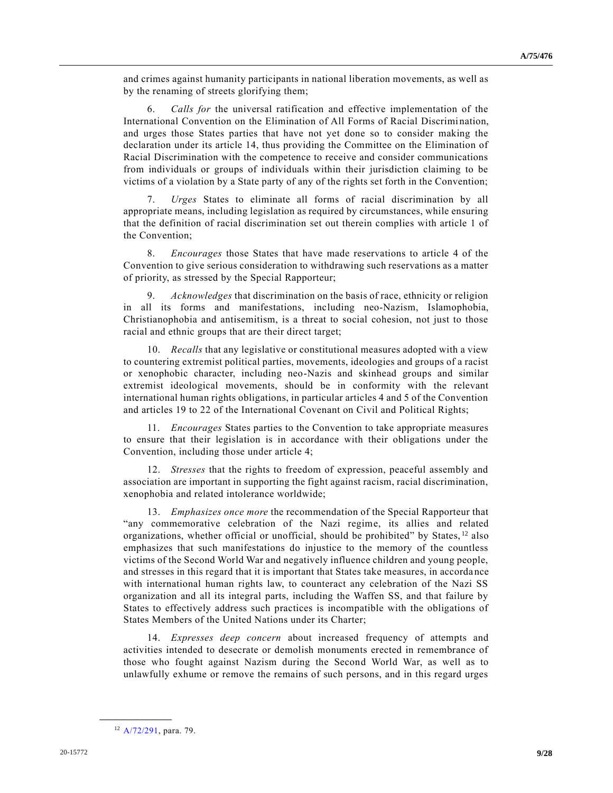and crimes against humanity participants in national liberation movements, as well as by the renaming of streets glorifying them;

6. *Calls for* the universal ratification and effective implementation of the International Convention on the Elimination of All Forms of Racial Discrimi nation, and urges those States parties that have not yet done so to consider making the declaration under its article 14, thus providing the Committee on the Elimination of Racial Discrimination with the competence to receive and consider communications from individuals or groups of individuals within their jurisdiction claiming to be victims of a violation by a State party of any of the rights set forth in the Convention;

7. *Urges* States to eliminate all forms of racial discrimination by all appropriate means, including legislation as required by circumstances, while ensuring that the definition of racial discrimination set out therein complies with article 1 of the Convention;

8. *Encourages* those States that have made reservations to article 4 of the Convention to give serious consideration to withdrawing such reservations as a matter of priority, as stressed by the Special Rapporteur;

9. *Acknowledges* that discrimination on the basis of race, ethnicity or religion in all its forms and manifestations, including neo-Nazism, Islamophobia, Christianophobia and antisemitism, is a threat to social cohesion, not just to those racial and ethnic groups that are their direct target;

10. *Recalls* that any legislative or constitutional measures adopted with a view to countering extremist political parties, movements, ideologies and groups of a racist or xenophobic character, including neo-Nazis and skinhead groups and similar extremist ideological movements, should be in conformity with the relevant international human rights obligations, in particular articles 4 and 5 of the Convention and articles 19 to 22 of the International Covenant on Civil and Political Rights;

11. *Encourages* States parties to the Convention to take appropriate measures to ensure that their legislation is in accordance with their obligations under the Convention, including those under article 4;

12. *Stresses* that the rights to freedom of expression, peaceful assembly and association are important in supporting the fight against racism, racial discrimination, xenophobia and related intolerance worldwide;

13. *Emphasizes once more* the recommendation of the Special Rapporteur that "any commemorative celebration of the Nazi regime, its allies and related organizations, whether official or unofficial, should be prohibited" by States,  $12$  also emphasizes that such manifestations do injustice to the memory of the countless victims of the Second World War and negatively influence children and young people, and stresses in this regard that it is important that States take measures, in accorda nce with international human rights law, to counteract any celebration of the Nazi SS organization and all its integral parts, including the Waffen SS, and that failure by States to effectively address such practices is incompatible with the obligations of States Members of the United Nations under its Charter;

14. *Expresses deep concern* about increased frequency of attempts and activities intended to desecrate or demolish monuments erected in remembrance of those who fought against Nazism during the Second World War, as well as to unlawfully exhume or remove the remains of such persons, and in this regard urges

<sup>12</sup> [A/72/291,](https://undocs.org/en/A/72/291) para. 79.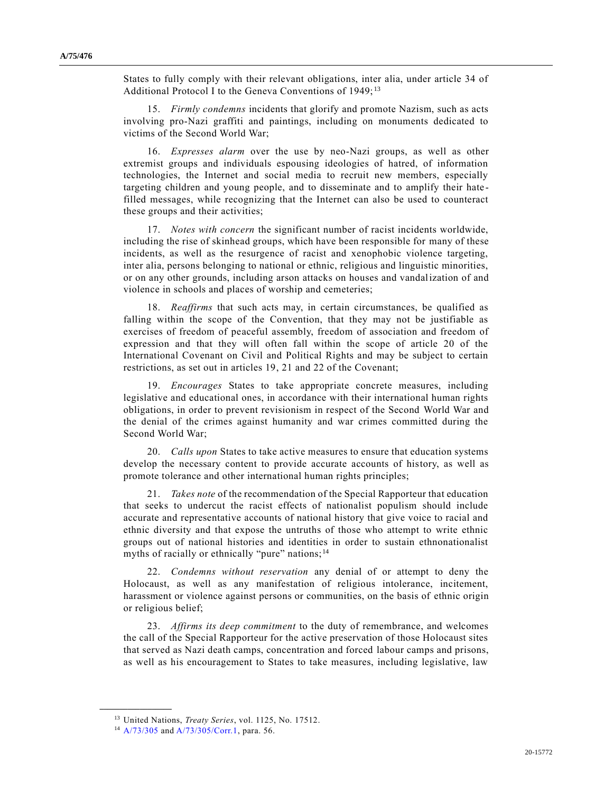States to fully comply with their relevant obligations, inter alia, under article 34 of Additional Protocol I to the Geneva Conventions of 1949;<sup>13</sup>

15. *Firmly condemns* incidents that glorify and promote Nazism, such as acts involving pro-Nazi graffiti and paintings, including on monuments dedicated to victims of the Second World War;

16. *Expresses alarm* over the use by neo-Nazi groups, as well as other extremist groups and individuals espousing ideologies of hatred, of information technologies, the Internet and social media to recruit new members, especially targeting children and young people, and to disseminate and to amplify their hate filled messages, while recognizing that the Internet can also be used to counteract these groups and their activities;

17. *Notes with concern* the significant number of racist incidents worldwide, including the rise of skinhead groups, which have been responsible for many of these incidents, as well as the resurgence of racist and xenophobic violence targeting, inter alia, persons belonging to national or ethnic, religious and linguistic minorities, or on any other grounds, including arson attacks on houses and vandalization of and violence in schools and places of worship and cemeteries;

18. *Reaffirms* that such acts may, in certain circumstances, be qualified as falling within the scope of the Convention, that they may not be justifiable as exercises of freedom of peaceful assembly, freedom of association and freedom of expression and that they will often fall within the scope of article 20 of the International Covenant on Civil and Political Rights and may be subject to certain restrictions, as set out in articles 19, 21 and 22 of the Covenant;

19. *Encourages* States to take appropriate concrete measures, including legislative and educational ones, in accordance with their international human rights obligations, in order to prevent revisionism in respect of the Second World War and the denial of the crimes against humanity and war crimes committed during the Second World War;

20. *Calls upon* States to take active measures to ensure that education systems develop the necessary content to provide accurate accounts of history, as well as promote tolerance and other international human rights principles;

21. *Takes note* of the recommendation of the Special Rapporteur that education that seeks to undercut the racist effects of nationalist populism should include accurate and representative accounts of national history that give voice to racial and ethnic diversity and that expose the untruths of those who attempt to write ethnic groups out of national histories and identities in order to sustain ethnonationalist myths of racially or ethnically "pure" nations;  $14$ 

22. *Condemns without reservation* any denial of or attempt to deny the Holocaust, as well as any manifestation of religious intolerance, incitement, harassment or violence against persons or communities, on the basis of ethnic origin or religious belief;

23. *Affirms its deep commitment* to the duty of remembrance, and welcomes the call of the Special Rapporteur for the active preservation of those Holocaust sites that served as Nazi death camps, concentration and forced labour camps and prisons, as well as his encouragement to States to take measures, including legislative, law

<sup>13</sup> United Nations, *Treaty Series*, vol. 1125, No. 17512.

<sup>14</sup> [A/73/305](https://undocs.org/en/A/73/305) and [A/73/305/Corr.1,](https://undocs.org/en/A/73/305/Corr.1) para. 56.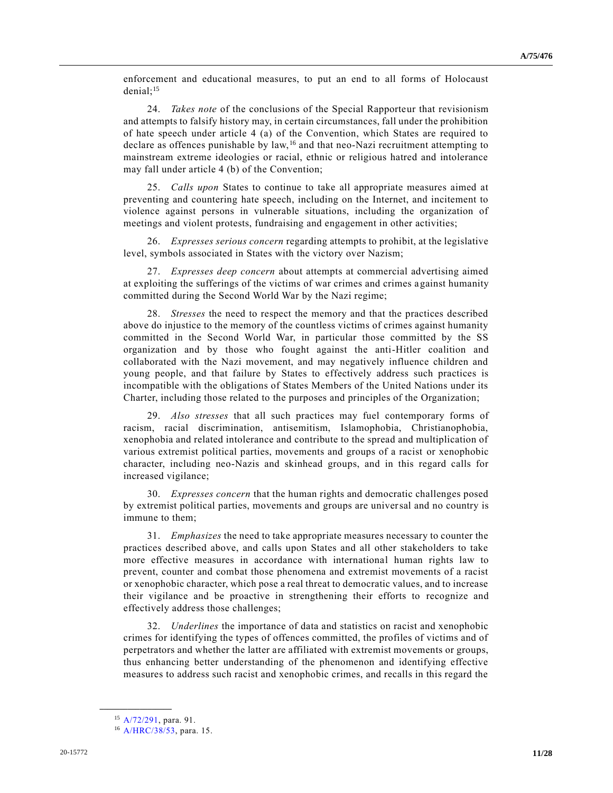enforcement and educational measures, to put an end to all forms of Holocaust denial; $15$ 

24. *Takes note* of the conclusions of the Special Rapporteur that revisionism and attempts to falsify history may, in certain circumstances, fall under the prohibition of hate speech under article 4 (a) of the Convention, which States are required to declare as offences punishable by law,  $^{16}$  and that neo-Nazi recruitment attempting to mainstream extreme ideologies or racial, ethnic or religious hatred and intolerance may fall under article 4 (b) of the Convention;

25. *Calls upon* States to continue to take all appropriate measures aimed at preventing and countering hate speech, including on the Internet, and incitement to violence against persons in vulnerable situations, including the organization of meetings and violent protests, fundraising and engagement in other activities;

26. *Expresses serious concern* regarding attempts to prohibit, at the legislative level, symbols associated in States with the victory over Nazism;

27. *Expresses deep concern* about attempts at commercial advertising aimed at exploiting the sufferings of the victims of war crimes and crimes against humanity committed during the Second World War by the Nazi regime;

28. *Stresses* the need to respect the memory and that the practices described above do injustice to the memory of the countless victims of crimes against humanity committed in the Second World War, in particular those committed by the SS organization and by those who fought against the anti-Hitler coalition and collaborated with the Nazi movement, and may negatively influence children and young people, and that failure by States to effectively address such practices is incompatible with the obligations of States Members of the United Nations under its Charter, including those related to the purposes and principles of the Organization;

29. *Also stresses* that all such practices may fuel contemporary forms of racism, racial discrimination, antisemitism, Islamophobia, Christianophobia, xenophobia and related intolerance and contribute to the spread and multiplication of various extremist political parties, movements and groups of a racist or xenophobic character, including neo-Nazis and skinhead groups, and in this regard calls for increased vigilance;

30. *Expresses concern* that the human rights and democratic challenges posed by extremist political parties, movements and groups are universal and no country is immune to them;

31. *Emphasizes* the need to take appropriate measures necessary to counter the practices described above, and calls upon States and all other stakeholders to take more effective measures in accordance with international human rights law to prevent, counter and combat those phenomena and extremist movements of a racist or xenophobic character, which pose a real threat to democratic values, and to increase their vigilance and be proactive in strengthening their efforts to recognize and effectively address those challenges;

32. *Underlines* the importance of data and statistics on racist and xenophobic crimes for identifying the types of offences committed, the profiles of victims and of perpetrators and whether the latter are affiliated with extremist movements or groups, thus enhancing better understanding of the phenomenon and identifying effective measures to address such racist and xenophobic crimes, and recalls in this regard the

<sup>15</sup> [A/72/291,](https://undocs.org/en/A/72/291) para. 91.

<sup>16</sup> [A/HRC/38/53,](https://undocs.org/en/A/HRC/38/53) para. 15.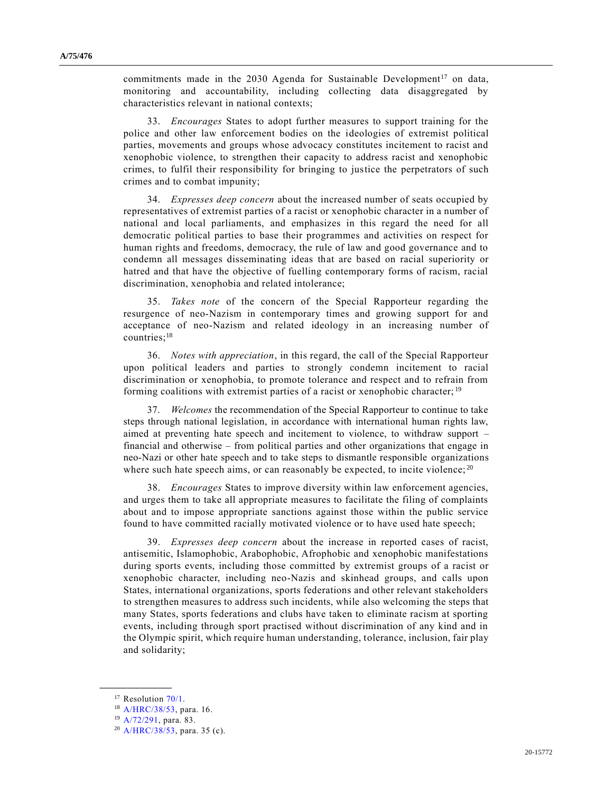commitments made in the 2030 Agenda for Sustainable Development<sup>17</sup> on data, monitoring and accountability, including collecting data disaggregated by characteristics relevant in national contexts;

33. *Encourages* States to adopt further measures to support training for the police and other law enforcement bodies on the ideologies of extremist political parties, movements and groups whose advocacy constitutes incitement to racist and xenophobic violence, to strengthen their capacity to address racist and xenophobic crimes, to fulfil their responsibility for bringing to justice the perpetrators of such crimes and to combat impunity;

34. *Expresses deep concern* about the increased number of seats occupied by representatives of extremist parties of a racist or xenophobic character in a number of national and local parliaments, and emphasizes in this regard the need for all democratic political parties to base their programmes and activities on respect for human rights and freedoms, democracy, the rule of law and good governance and to condemn all messages disseminating ideas that are based on racial superiority or hatred and that have the objective of fuelling contemporary forms of racism, racial discrimination, xenophobia and related intolerance;

35. *Takes note* of the concern of the Special Rapporteur regarding the resurgence of neo-Nazism in contemporary times and growing support for and acceptance of neo-Nazism and related ideology in an increasing number of countries;<sup>18</sup>

36. *Notes with appreciation*, in this regard, the call of the Special Rapporteur upon political leaders and parties to strongly condemn incitement to racial discrimination or xenophobia, to promote tolerance and respect and to refrain from forming coalitions with extremist parties of a racist or xenophobic character; <sup>19</sup>

37. *Welcomes* the recommendation of the Special Rapporteur to continue to take steps through national legislation, in accordance with international human rights law, aimed at preventing hate speech and incitement to violence, to withdraw support – financial and otherwise – from political parties and other organizations that engage in neo-Nazi or other hate speech and to take steps to dismantle responsible organizations where such hate speech aims, or can reasonably be expected, to incite violence;  $^{20}$ 

38. *Encourages* States to improve diversity within law enforcement agencies, and urges them to take all appropriate measures to facilitate the filing of complaints about and to impose appropriate sanctions against those within the public service found to have committed racially motivated violence or to have used hate speech;

39. *Expresses deep concern* about the increase in reported cases of racist, antisemitic, Islamophobic, Arabophobic, Afrophobic and xenophobic manifestations during sports events, including those committed by extremist groups of a racist or xenophobic character, including neo-Nazis and skinhead groups, and calls upon States, international organizations, sports federations and other relevant stakeholders to strengthen measures to address such incidents, while also welcoming the steps that many States, sports federations and clubs have taken to eliminate racism at sporting events, including through sport practised without discrimination of any kind and in the Olympic spirit, which require human understanding, tolerance, inclusion, fair play and solidarity;

<sup>&</sup>lt;sup>17</sup> Resolution [70/1.](https://undocs.org/en/A/RES/70/1)

<sup>18</sup> [A/HRC/38/53,](https://undocs.org/en/A/HRC/38/53) para. 16.

<sup>19</sup> [A/72/291,](https://undocs.org/en/A/72/291) para. 83.

<sup>20</sup> [A/HRC/38/53,](https://undocs.org/en/A/HRC/38/53) para. 35 (c).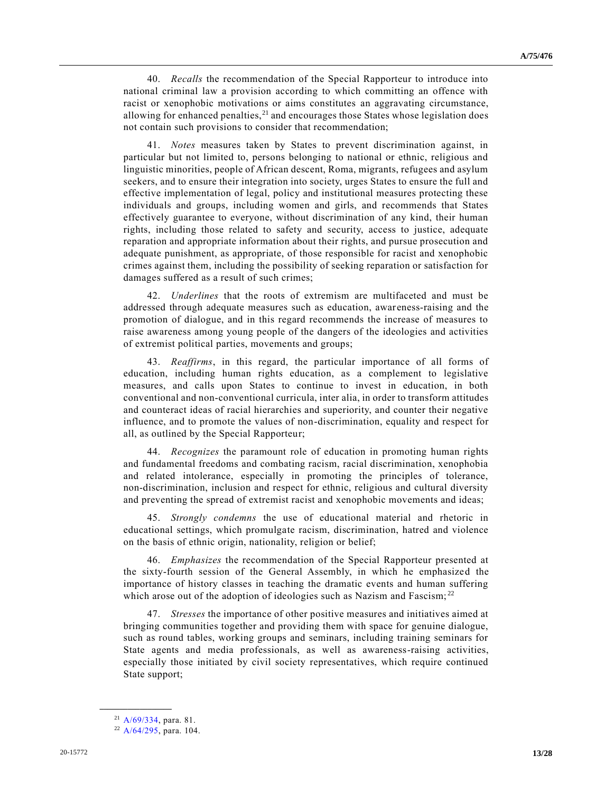40. *Recalls* the recommendation of the Special Rapporteur to introduce into national criminal law a provision according to which committing an offence with racist or xenophobic motivations or aims constitutes an aggravating circumstance, allowing for enhanced penalties, $21$  and encourages those States whose legislation does not contain such provisions to consider that recommendation;

41. *Notes* measures taken by States to prevent discrimination against, in particular but not limited to, persons belonging to national or ethnic, religious and linguistic minorities, people of African descent, Roma, migrants, refugees and asylum seekers, and to ensure their integration into society, urges States to ensure the full and effective implementation of legal, policy and institutional measures protecting these individuals and groups, including women and girls, and recommends that States effectively guarantee to everyone, without discrimination of any kind, their human rights, including those related to safety and security, access to justice, adequate reparation and appropriate information about their rights, and pursue prosecution and adequate punishment, as appropriate, of those responsible for racist and xenophobic crimes against them, including the possibility of seeking reparation or satisfaction for damages suffered as a result of such crimes;

42. *Underlines* that the roots of extremism are multifaceted and must be addressed through adequate measures such as education, awareness-raising and the promotion of dialogue, and in this regard recommends the increase of measures to raise awareness among young people of the dangers of the ideologies and activities of extremist political parties, movements and groups;

43. *Reaffirms*, in this regard, the particular importance of all forms of education, including human rights education, as a complement to legislative measures, and calls upon States to continue to invest in education, in both conventional and non-conventional curricula, inter alia, in order to transform attitudes and counteract ideas of racial hierarchies and superiority, and counter their negative influence, and to promote the values of non-discrimination, equality and respect for all, as outlined by the Special Rapporteur;

44. *Recognizes* the paramount role of education in promoting human rights and fundamental freedoms and combating racism, racial discrimination, xenophobia and related intolerance, especially in promoting the principles of tolerance, non-discrimination, inclusion and respect for ethnic, religious and cultural diversity and preventing the spread of extremist racist and xenophobic movements and ideas;

45. *Strongly condemns* the use of educational material and rhetoric in educational settings, which promulgate racism, discrimination, hatred and violence on the basis of ethnic origin, nationality, religion or belief;

46. *Emphasizes* the recommendation of the Special Rapporteur presented at the sixty-fourth session of the General Assembly, in which he emphasized the importance of history classes in teaching the dramatic events and human suffering which arose out of the adoption of ideologies such as Nazism and Fascism;<sup>22</sup>

47. *Stresses* the importance of other positive measures and initiatives aimed at bringing communities together and providing them with space for genuine dialogue, such as round tables, working groups and seminars, including training seminars for State agents and media professionals, as well as awareness-raising activities, especially those initiated by civil society representatives, which require continued State support;

<sup>21</sup> [A/69/334,](https://undocs.org/en/A/69/334) para. 81.

<sup>22</sup> [A/64/295,](https://undocs.org/en/A/64/295) para. 104.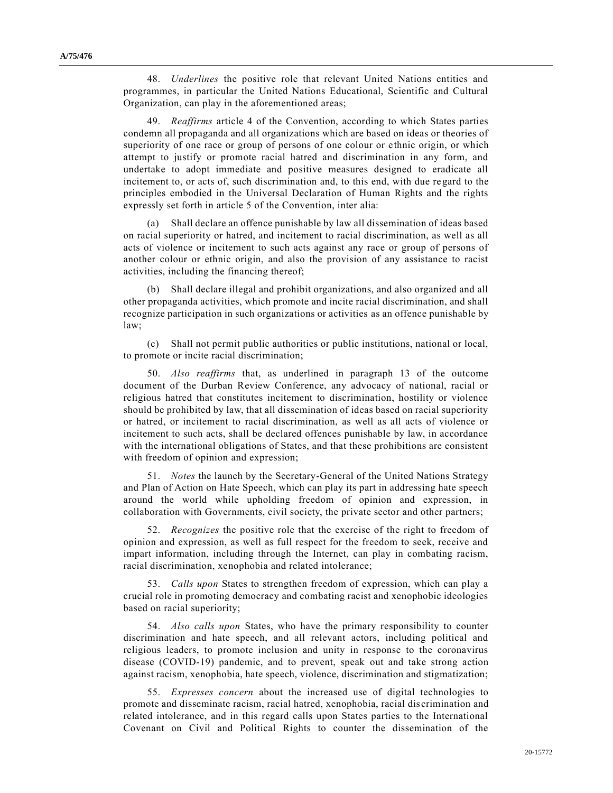48. *Underlines* the positive role that relevant United Nations entities and programmes, in particular the United Nations Educational, Scientific and Cultural Organization, can play in the aforementioned areas;

49. *Reaffirms* article 4 of the Convention, according to which States parties condemn all propaganda and all organizations which are based on ideas or theories of superiority of one race or group of persons of one colour or ethnic origin, or which attempt to justify or promote racial hatred and discrimination in any form, and undertake to adopt immediate and positive measures designed to eradicate all incitement to, or acts of, such discrimination and, to this end, with due re gard to the principles embodied in the Universal Declaration of Human Rights and the rights expressly set forth in article 5 of the Convention, inter alia:

(a) Shall declare an offence punishable by law all dissemination of ideas based on racial superiority or hatred, and incitement to racial discrimination, as well as all acts of violence or incitement to such acts against any race or group of persons of another colour or ethnic origin, and also the provision of any assistance to racist activities, including the financing thereof;

(b) Shall declare illegal and prohibit organizations, and also organized and all other propaganda activities, which promote and incite racial discrimination, and shall recognize participation in such organizations or activities as an offence punishable by law;

(c) Shall not permit public authorities or public institutions, national or local, to promote or incite racial discrimination;

50. *Also reaffirms* that, as underlined in paragraph 13 of the outcome document of the Durban Review Conference, any advocacy of national, racial or religious hatred that constitutes incitement to discrimination, hostility or violence should be prohibited by law, that all dissemination of ideas based on racial superiority or hatred, or incitement to racial discrimination, as well as all acts of violence or incitement to such acts, shall be declared offences punishable by law, in accordance with the international obligations of States, and that these prohibitions are consistent with freedom of opinion and expression;

51. *Notes* the launch by the Secretary-General of the United Nations Strategy and Plan of Action on Hate Speech, which can play its part in addressing hate speech around the world while upholding freedom of opinion and expression, in collaboration with Governments, civil society, the private sector and other partners;

52. *Recognizes* the positive role that the exercise of the right to freedom of opinion and expression, as well as full respect for the freedom to seek, receive and impart information, including through the Internet, can play in combating racism, racial discrimination, xenophobia and related intolerance;

53. *Calls upon* States to strengthen freedom of expression, which can play a crucial role in promoting democracy and combating racist and xenophobic ideologies based on racial superiority;

54. *Also calls upon* States, who have the primary responsibility to counter discrimination and hate speech, and all relevant actors, including political and religious leaders, to promote inclusion and unity in response to the coronavirus disease (COVID-19) pandemic, and to prevent, speak out and take strong action against racism, xenophobia, hate speech, violence, discrimination and stigmatization;

55. *Expresses concern* about the increased use of digital technologies to promote and disseminate racism, racial hatred, xenophobia, racial dis crimination and related intolerance, and in this regard calls upon States parties to the International Covenant on Civil and Political Rights to counter the dissemination of the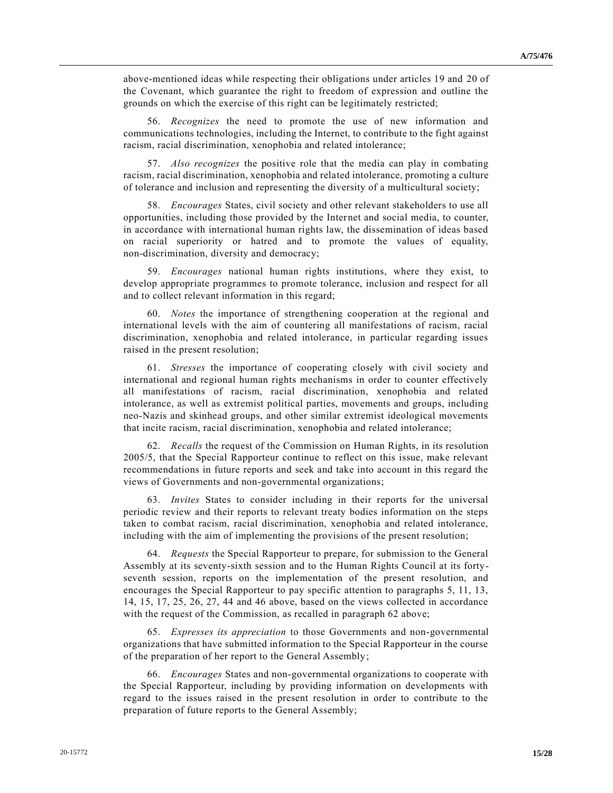above-mentioned ideas while respecting their obligations under articles 19 and 20 of the Covenant, which guarantee the right to freedom of expression and outline the grounds on which the exercise of this right can be legitimately restricted;

56. *Recognizes* the need to promote the use of new information and communications technologies, including the Internet, to contribute to the fight against racism, racial discrimination, xenophobia and related intolerance;

57. *Also recognizes* the positive role that the media can play in combating racism, racial discrimination, xenophobia and related intolerance, promoting a culture of tolerance and inclusion and representing the diversity of a multicultural society;

58. *Encourages* States, civil society and other relevant stakeholders to use all opportunities, including those provided by the Internet and social media, to counter, in accordance with international human rights law, the dissemination of ideas based on racial superiority or hatred and to promote the values of equality, non-discrimination, diversity and democracy;

59. *Encourages* national human rights institutions, where they exist, to develop appropriate programmes to promote tolerance, inclusion and respect for all and to collect relevant information in this regard;

60. *Notes* the importance of strengthening cooperation at the regional and international levels with the aim of countering all manifestations of racism, racial discrimination, xenophobia and related intolerance, in particular regarding issues raised in the present resolution;

61. *Stresses* the importance of cooperating closely with civil society and international and regional human rights mechanisms in order to counter effectively all manifestations of racism, racial discrimination, xenophobia and related intolerance, as well as extremist political parties, movements and groups, including neo-Nazis and skinhead groups, and other similar extremist ideological movements that incite racism, racial discrimination, xenophobia and related intolerance;

62. *Recalls* the request of the Commission on Human Rights, in its resolution 2005/5, that the Special Rapporteur continue to reflect on this issue, make relevant recommendations in future reports and seek and take into account in this regard the views of Governments and non-governmental organizations;

63. *Invites* States to consider including in their reports for the universal periodic review and their reports to relevant treaty bodies information on the steps taken to combat racism, racial discrimination, xenophobia and related intolerance, including with the aim of implementing the provisions of the present resolution;

64. *Requests* the Special Rapporteur to prepare, for submission to the General Assembly at its seventy-sixth session and to the Human Rights Council at its fortyseventh session, reports on the implementation of the present resolution, and encourages the Special Rapporteur to pay specific attention to paragraphs 5, 11, 13, 14, 15, 17, 25, 26, 27, 44 and 46 above, based on the views collected in accordance with the request of the Commission, as recalled in paragraph 62 above;

65. *Expresses its appreciation* to those Governments and non-governmental organizations that have submitted information to the Special Rapporteur in the course of the preparation of her report to the General Assembly;

66. *Encourages* States and non-governmental organizations to cooperate with the Special Rapporteur, including by providing information on developments with regard to the issues raised in the present resolution in order to contribute to the preparation of future reports to the General Assembly;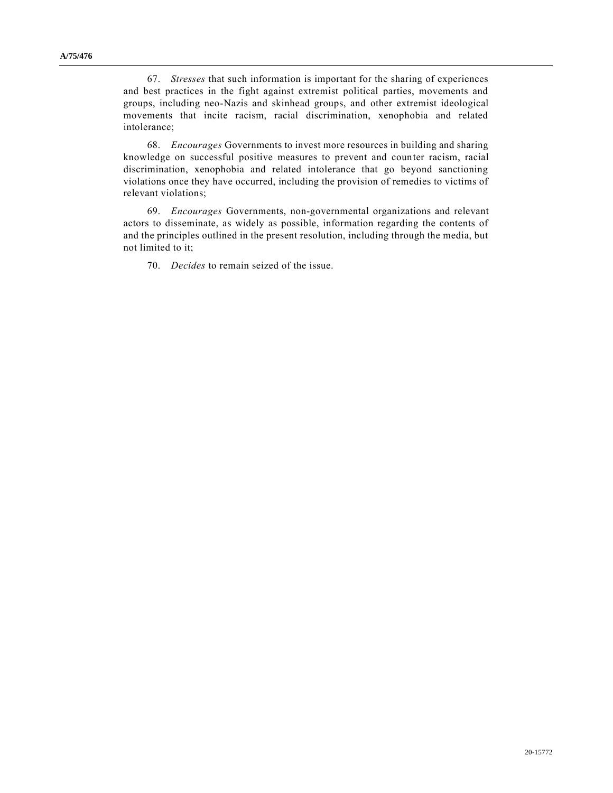67. *Stresses* that such information is important for the sharing of experiences and best practices in the fight against extremist political parties, movements and groups, including neo-Nazis and skinhead groups, and other extremist ideological movements that incite racism, racial discrimination, xenophobia and related intolerance;

68. *Encourages* Governments to invest more resources in building and sharing knowledge on successful positive measures to prevent and counter racism, racial discrimination, xenophobia and related intolerance that go beyond sanctioning violations once they have occurred, including the provision of remedies to victims of relevant violations;

69. *Encourages* Governments, non-governmental organizations and relevant actors to disseminate, as widely as possible, information regarding the contents of and the principles outlined in the present resolution, including through the media, but not limited to it;

70. *Decides* to remain seized of the issue.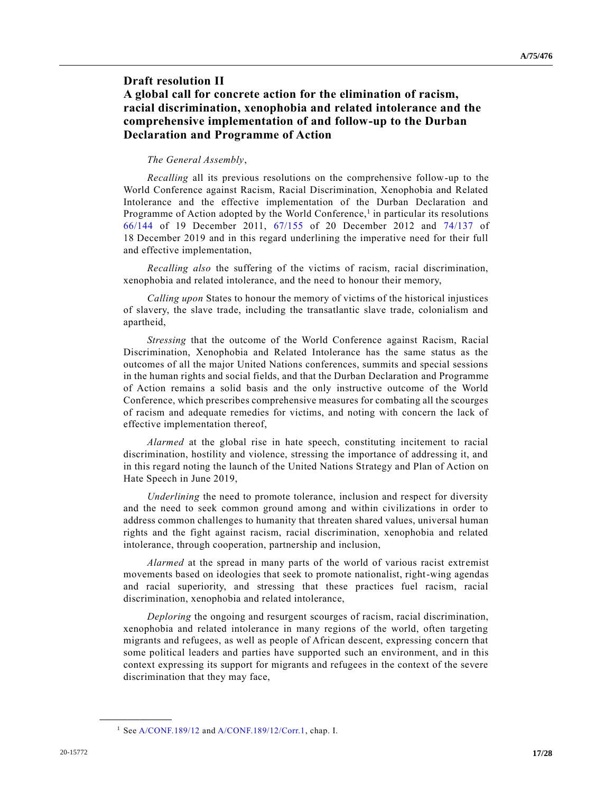# **Draft resolution II A global call for concrete action for the elimination of racism, racial discrimination, xenophobia and related intolerance and the comprehensive implementation of and follow-up to the Durban Declaration and Programme of Action**

### *The General Assembly*,

*Recalling* all its previous resolutions on the comprehensive follow-up to the World Conference against Racism, Racial Discrimination, Xenophobia and Related Intolerance and the effective implementation of the Durban Declaration and Programme of Action adopted by the World Conference,<sup>1</sup> in particular its resolutions [66/144](https://undocs.org/en/A/RES/66/144) of 19 December 2011, [67/155](https://undocs.org/en/A/RES/67/155) of 20 December 2012 and [74/137](https://undocs.org/en/A/RES/74/137) of 18 December 2019 and in this regard underlining the imperative need for their full and effective implementation,

*Recalling also* the suffering of the victims of racism, racial discrimination, xenophobia and related intolerance, and the need to honour their memory,

*Calling upon* States to honour the memory of victims of the historical injustices of slavery, the slave trade, including the transatlantic slave trade, colonialism and apartheid,

*Stressing* that the outcome of the World Conference against Racism, Racial Discrimination, Xenophobia and Related Intolerance has the same status as the outcomes of all the major United Nations conferences, summits and special sessions in the human rights and social fields, and that the Durban Declaration and Programme of Action remains a solid basis and the only instructive outcome of the World Conference, which prescribes comprehensive measures for combating all the scourges of racism and adequate remedies for victims, and noting with concern the lack of effective implementation thereof,

*Alarmed* at the global rise in hate speech, constituting incitement to racial discrimination, hostility and violence, stressing the importance of addressing it, and in this regard noting the launch of the United Nations Strategy and Plan of Action on Hate Speech in June 2019,

*Underlining* the need to promote tolerance, inclusion and respect for diversity and the need to seek common ground among and within civilizations in order to address common challenges to humanity that threaten shared values, universal human rights and the fight against racism, racial discrimination, xenophobia and related intolerance, through cooperation, partnership and inclusion,

*Alarmed* at the spread in many parts of the world of various racist extremist movements based on ideologies that seek to promote nationalist, right-wing agendas and racial superiority, and stressing that these practices fuel racism, racial discrimination, xenophobia and related intolerance,

*Deploring* the ongoing and resurgent scourges of racism, racial discrimination, xenophobia and related intolerance in many regions of the world, often targeting migrants and refugees, as well as people of African descent, expressing concern that some political leaders and parties have supported such an environment, and in this context expressing its support for migrants and refugees in the context of the severe discrimination that they may face,

<sup>1</sup> Se[e A/CONF.189/12](https://undocs.org/en/A/CONF.189/12) an[d A/CONF.189/12/Corr.1,](https://undocs.org/en/A/CONF.189/12/Corr.1) chap. I.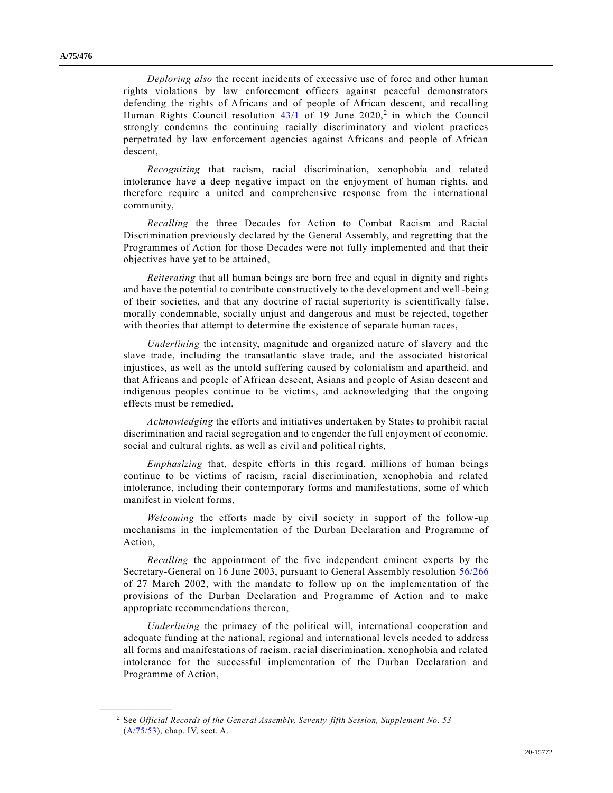*Deploring also* the recent incidents of excessive use of force and other human rights violations by law enforcement officers against peaceful demonstrators defending the rights of Africans and of people of African descent, and recalling Human Rights Council resolution  $43/1$  of 19 June  $2020$ <sup>2</sup> in which the Council strongly condemns the continuing racially discriminatory and violent practices perpetrated by law enforcement agencies against Africans and people of African descent,

*Recognizing* that racism, racial discrimination, xenophobia and related intolerance have a deep negative impact on the enjoyment of human rights, and therefore require a united and comprehensive response from the international community,

*Recalling* the three Decades for Action to Combat Racism and Racial Discrimination previously declared by the General Assembly, and regretting that the Programmes of Action for those Decades were not fully implemented and that their objectives have yet to be attained,

*Reiterating* that all human beings are born free and equal in dignity and rights and have the potential to contribute constructively to the development and well-being of their societies, and that any doctrine of racial superiority is scientifically false , morally condemnable, socially unjust and dangerous and must be rejected, together with theories that attempt to determine the existence of separate human races,

*Underlining* the intensity, magnitude and organized nature of slavery and the slave trade, including the transatlantic slave trade, and the associated historical injustices, as well as the untold suffering caused by colonialism and apartheid, and that Africans and people of African descent, Asians and people of Asian descent and indigenous peoples continue to be victims, and acknowledging that the ongoing effects must be remedied,

*Acknowledging* the efforts and initiatives undertaken by States to prohibit racial discrimination and racial segregation and to engender the full enjoyment of economic, social and cultural rights, as well as civil and political rights,

*Emphasizing* that, despite efforts in this regard, millions of human beings continue to be victims of racism, racial discrimination, xenophobia and related intolerance, including their contemporary forms and manifestations, some of which manifest in violent forms,

*Welcoming* the efforts made by civil society in support of the follow-up mechanisms in the implementation of the Durban Declaration and Programme of Action,

*Recalling* the appointment of the five independent eminent experts by the Secretary-General on 16 June 2003, pursuant to General Assembly resolution [56/266](https://undocs.org/en/A/RES/56/266) of 27 March 2002, with the mandate to follow up on the implementation of the provisions of the Durban Declaration and Programme of Action and to make appropriate recommendations thereon,

*Underlining* the primacy of the political will, international cooperation and adequate funding at the national, regional and international levels needed to address all forms and manifestations of racism, racial discrimination, xenophobia and related intolerance for the successful implementation of the Durban Declaration and Programme of Action,

<sup>2</sup> See *Official Records of the General Assembly, Seventy-fifth Session, Supplement No. 53* [\(A/75/53\)](https://undocs.org/en/A/75/53), chap. IV, sect. A.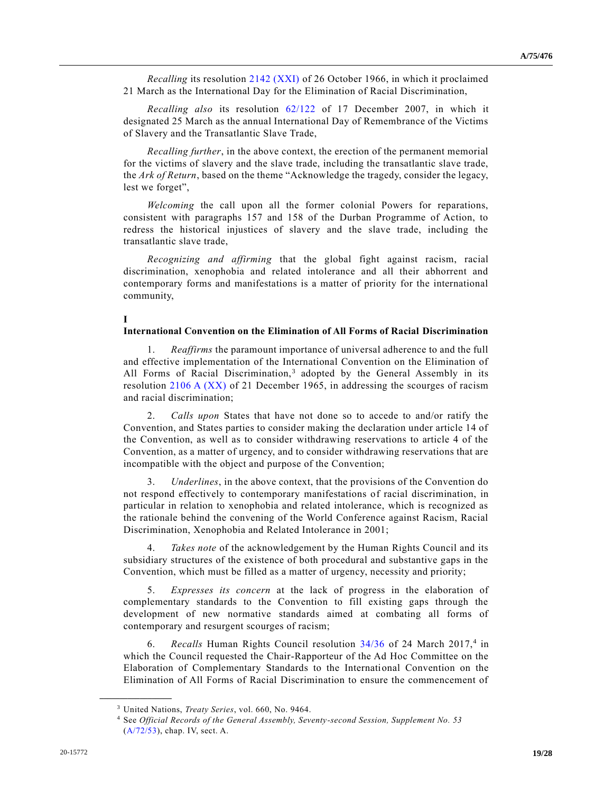*Recalling* its resolution [2142 \(XXI\)](https://undocs.org/en/A/RES/2142(XXI)) of 26 October 1966, in which it proclaimed 21 March as the International Day for the Elimination of Racial Discrimination,

*Recalling also* its resolution [62/122](https://undocs.org/en/A/RES/62/122) of 17 December 2007, in which it designated 25 March as the annual International Day of Remembrance of the Victims of Slavery and the Transatlantic Slave Trade,

*Recalling further*, in the above context, the erection of the permanent memorial for the victims of slavery and the slave trade, including the transatlantic slave trade, the *Ark of Return*, based on the theme "Acknowledge the tragedy, consider the legacy, lest we forget",

*Welcoming* the call upon all the former colonial Powers for reparations, consistent with paragraphs 157 and 158 of the Durban Programme of Action, to redress the historical injustices of slavery and the slave trade, including the transatlantic slave trade,

*Recognizing and affirming* that the global fight against racism, racial discrimination, xenophobia and related intolerance and all their abhorrent and contemporary forms and manifestations is a matter of priority for the international community,

### **I**

### **International Convention on the Elimination of All Forms of Racial Discrimination**

1. *Reaffirms* the paramount importance of universal adherence to and the full and effective implementation of the International Convention on the Elimination of All Forms of Racial Discrimination,<sup>3</sup> adopted by the General Assembly in its resolution [2106 A \(XX\)](https://undocs.org/en/A/RES/2106(XX)) of 21 December 1965, in addressing the scourges of racism and racial discrimination;

2. *Calls upon* States that have not done so to accede to and/or ratify the Convention, and States parties to consider making the declaration under article 14 of the Convention, as well as to consider withdrawing reservations to article 4 of the Convention, as a matter of urgency, and to consider withdrawing reservations that are incompatible with the object and purpose of the Convention;

3. *Underlines*, in the above context, that the provisions of the Convention do not respond effectively to contemporary manifestations of racial discrimination, in particular in relation to xenophobia and related intolerance, which is recognized as the rationale behind the convening of the World Conference against Racism, Racial Discrimination, Xenophobia and Related Intolerance in 2001;

4. *Takes note* of the acknowledgement by the Human Rights Council and its subsidiary structures of the existence of both procedural and substantive gaps in the Convention, which must be filled as a matter of urgency, necessity and priority;

5. *Expresses its concern* at the lack of progress in the elaboration of complementary standards to the Convention to fill existing gaps through the development of new normative standards aimed at combating all forms of contemporary and resurgent scourges of racism;

6. Recalls Human Rights Council resolution [34/36](https://undocs.org/en/A/HRC/RES/34/36) of 24 March 2017,<sup>4</sup> in which the Council requested the Chair-Rapporteur of the Ad Hoc Committee on the Elaboration of Complementary Standards to the International Convention on the Elimination of All Forms of Racial Discrimination to ensure the commencement of

<sup>3</sup> United Nations, *Treaty Series*, vol. 660, No. 9464.

<sup>4</sup> See *Official Records of the General Assembly, Seventy-second Session, Supplement No. 53* [\(A/72/53\)](https://undocs.org/en/A/72/53), chap. IV, sect. A.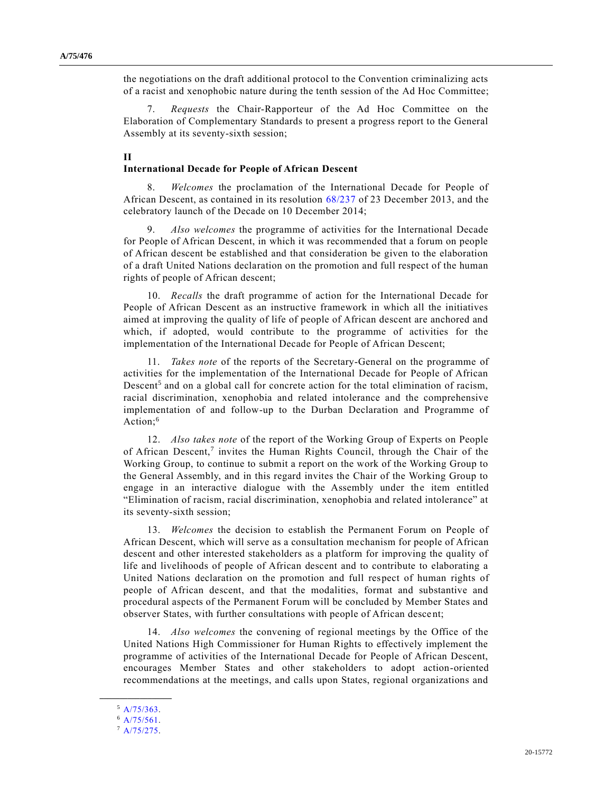the negotiations on the draft additional protocol to the Convention criminalizing acts of a racist and xenophobic nature during the tenth session of the Ad Hoc Committee;

7. *Requests* the Chair-Rapporteur of the Ad Hoc Committee on the Elaboration of Complementary Standards to present a progress report to the General Assembly at its seventy-sixth session;

### **II**

#### **International Decade for People of African Descent**

8. *Welcomes* the proclamation of the International Decade for People of African Descent, as contained in its resolution [68/237](https://undocs.org/en/A/RES/68/237) of 23 December 2013, and the celebratory launch of the Decade on 10 December 2014;

9. *Also welcomes* the programme of activities for the International Decade for People of African Descent, in which it was recommended that a forum on people of African descent be established and that consideration be given to the elaboration of a draft United Nations declaration on the promotion and full respect of the human rights of people of African descent;

10. *Recalls* the draft programme of action for the International Decade for People of African Descent as an instructive framework in which all the initiatives aimed at improving the quality of life of people of African descent are anchored and which, if adopted, would contribute to the programme of activities for the implementation of the International Decade for People of African Descent;

11. *Takes note* of the reports of the Secretary-General on the programme of activities for the implementation of the International Decade for People of African Descent<sup>5</sup> and on a global call for concrete action for the total elimination of racism, racial discrimination, xenophobia and related intolerance and the comprehensive implementation of and follow-up to the Durban Declaration and Programme of Action:<sup>6</sup>

12. *Also takes note* of the report of the Working Group of Experts on People of African Descent,<sup>7</sup> invites the Human Rights Council, through the Chair of the Working Group, to continue to submit a report on the work of the Working Group to the General Assembly, and in this regard invites the Chair of the Working Group to engage in an interactive dialogue with the Assembly under the item entitled "Elimination of racism, racial discrimination, xenophobia and related intolerance" at its seventy-sixth session;

13. *Welcomes* the decision to establish the Permanent Forum on People of African Descent, which will serve as a consultation mechanism for people of African descent and other interested stakeholders as a platform for improving the quality of life and livelihoods of people of African descent and to contribute to elaborating a United Nations declaration on the promotion and full respect of human rights of people of African descent, and that the modalities, format and substantive and procedural aspects of the Permanent Forum will be concluded by Member States and observer States, with further consultations with people of African descent;

14. *Also welcomes* the convening of regional meetings by the Office of the United Nations High Commissioner for Human Rights to effectively implement the programme of activities of the International Decade for People of African Descent, encourages Member States and other stakeholders to adopt action-oriented recommendations at the meetings, and calls upon States, regional organizations and

**\_\_\_\_\_\_\_\_\_\_\_\_\_\_\_\_\_\_** <sup>5</sup> [A/75/363.](https://undocs.org/en/A/75/363)

<sup>6</sup> [A/75/561.](https://undocs.org/en/A/75/561)

<sup>7</sup> [A/75/275.](https://undocs.org/en/A/75/275)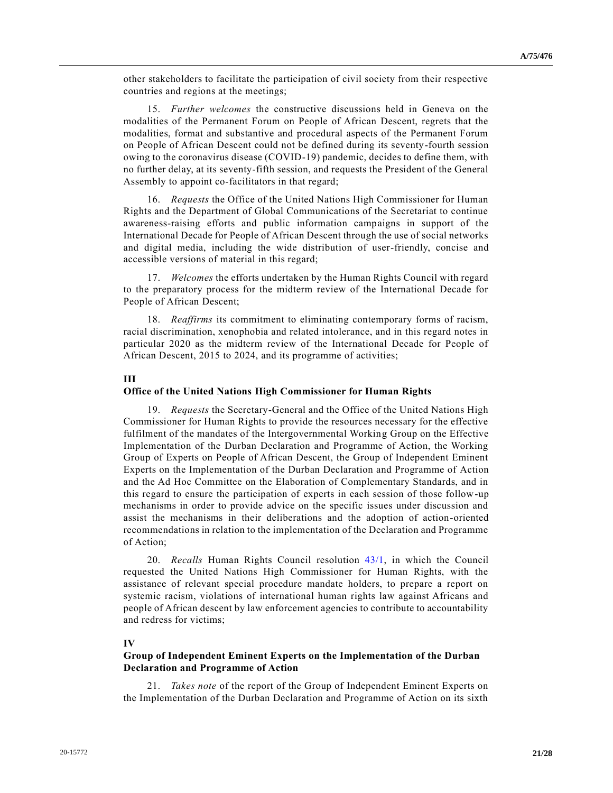other stakeholders to facilitate the participation of civil society from their respective countries and regions at the meetings;

15. *Further welcomes* the constructive discussions held in Geneva on the modalities of the Permanent Forum on People of African Descent, regrets that the modalities, format and substantive and procedural aspects of the Permanent Forum on People of African Descent could not be defined during its seventy-fourth session owing to the coronavirus disease (COVID-19) pandemic, decides to define them, with no further delay, at its seventy-fifth session, and requests the President of the General Assembly to appoint co-facilitators in that regard;

16. *Requests* the Office of the United Nations High Commissioner for Human Rights and the Department of Global Communications of the Secretariat to continue awareness-raising efforts and public information campaigns in support of the International Decade for People of African Descent through the use of social networks and digital media, including the wide distribution of user-friendly, concise and accessible versions of material in this regard;

17. *Welcomes* the efforts undertaken by the Human Rights Council with regard to the preparatory process for the midterm review of the International Decade for People of African Descent;

18. *Reaffirms* its commitment to eliminating contemporary forms of racism, racial discrimination, xenophobia and related intolerance, and in this regard notes in particular 2020 as the midterm review of the International Decade for People of African Descent, 2015 to 2024, and its programme of activities;

### **III**

#### **Office of the United Nations High Commissioner for Human Rights**

19. *Requests* the Secretary-General and the Office of the United Nations High Commissioner for Human Rights to provide the resources necessary for the effective fulfilment of the mandates of the Intergovernmental Working Group on the Effective Implementation of the Durban Declaration and Programme of Action, the Working Group of Experts on People of African Descent, the Group of Independent Eminent Experts on the Implementation of the Durban Declaration and Programme of Action and the Ad Hoc Committee on the Elaboration of Complementary Standards, and in this regard to ensure the participation of experts in each session of those follow-up mechanisms in order to provide advice on the specific issues under discussion and assist the mechanisms in their deliberations and the adoption of action-oriented recommendations in relation to the implementation of the Declaration and Programme of Action;

20. *Recalls* Human Rights Council resolution [43/1,](https://undocs.org/en/A/HRC/RES/43/1) in which the Council requested the United Nations High Commissioner for Human Rights, with the assistance of relevant special procedure mandate holders, to prepare a report on systemic racism, violations of international human rights law against Africans and people of African descent by law enforcement agencies to contribute to accountability and redress for victims;

# **IV**

### **Group of Independent Eminent Experts on the Implementation of the Durban Declaration and Programme of Action**

21. *Takes note* of the report of the Group of Independent Eminent Experts on the Implementation of the Durban Declaration and Programme of Action on its sixth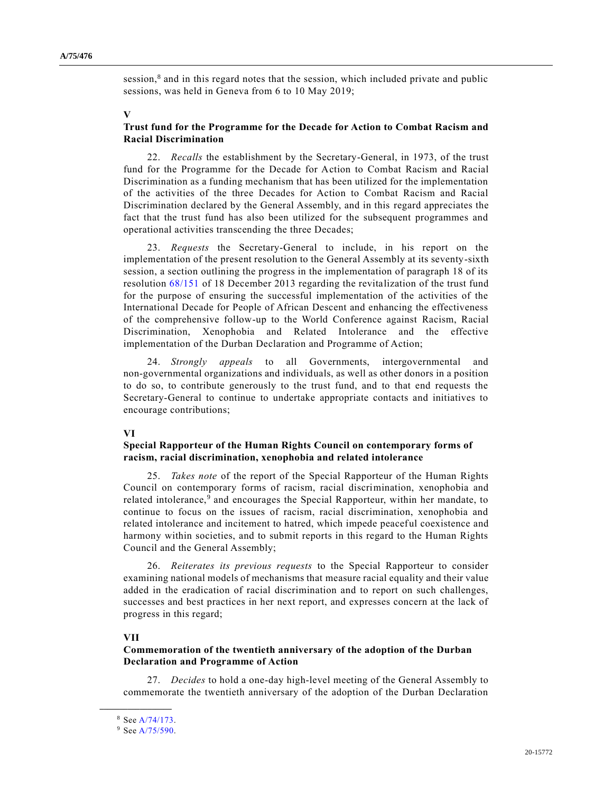session,<sup>8</sup> and in this regard notes that the session, which included private and public sessions, was held in Geneva from 6 to 10 May 2019;

### **V**

## **Trust fund for the Programme for the Decade for Action to Combat Racism and Racial Discrimination**

22. *Recalls* the establishment by the Secretary-General, in 1973, of the trust fund for the Programme for the Decade for Action to Combat Racism and Racial Discrimination as a funding mechanism that has been utilized for the implementation of the activities of the three Decades for Action to Combat Racism and Racial Discrimination declared by the General Assembly, and in this regard appreciates the fact that the trust fund has also been utilized for the subsequent programmes and operational activities transcending the three Decades;

23. *Requests* the Secretary-General to include, in his report on the implementation of the present resolution to the General Assembly at its seventy-sixth session, a section outlining the progress in the implementation of paragraph 18 of its resolution [68/151](https://undocs.org/en/A/RES/68/151) of 18 December 2013 regarding the revitalization of the trust fund for the purpose of ensuring the successful implementation of the activities of the International Decade for People of African Descent and enhancing the effectiveness of the comprehensive follow-up to the World Conference against Racism, Racial Discrimination, Xenophobia and Related Intolerance and the effective implementation of the Durban Declaration and Programme of Action;

24. *Strongly appeals* to all Governments, intergovernmental and non-governmental organizations and individuals, as well as other donors in a position to do so, to contribute generously to the trust fund, and to that end requests the Secretary-General to continue to undertake appropriate contacts and initiatives to encourage contributions;

### **VI**

## **Special Rapporteur of the Human Rights Council on contemporary forms of racism, racial discrimination, xenophobia and related intolerance**

25. *Takes note* of the report of the Special Rapporteur of the Human Rights Council on contemporary forms of racism, racial discrimination, xenophobia and related intolerance,<sup>9</sup> and encourages the Special Rapporteur, within her mandate, to continue to focus on the issues of racism, racial discrimination, xenophobia and related intolerance and incitement to hatred, which impede peaceful coexistence and harmony within societies, and to submit reports in this regard to the Human Rights Council and the General Assembly;

26. *Reiterates its previous requests* to the Special Rapporteur to consider examining national models of mechanisms that measure racial equality and their value added in the eradication of racial discrimination and to report on such challenges, successes and best practices in her next report, and expresses concern at the lack of progress in this regard;

# **VII**

# **Commemoration of the twentieth anniversary of the adoption of the Durban Declaration and Programme of Action**

27. *Decides* to hold a one-day high-level meeting of the General Assembly to commemorate the twentieth anniversary of the adoption of the Durban Declaration

<sup>8</sup> Se[e A/74/173.](https://undocs.org/en/A/74/173)

<sup>9</sup> Se[e A/75/590.](https://undocs.org/en/A/75/590)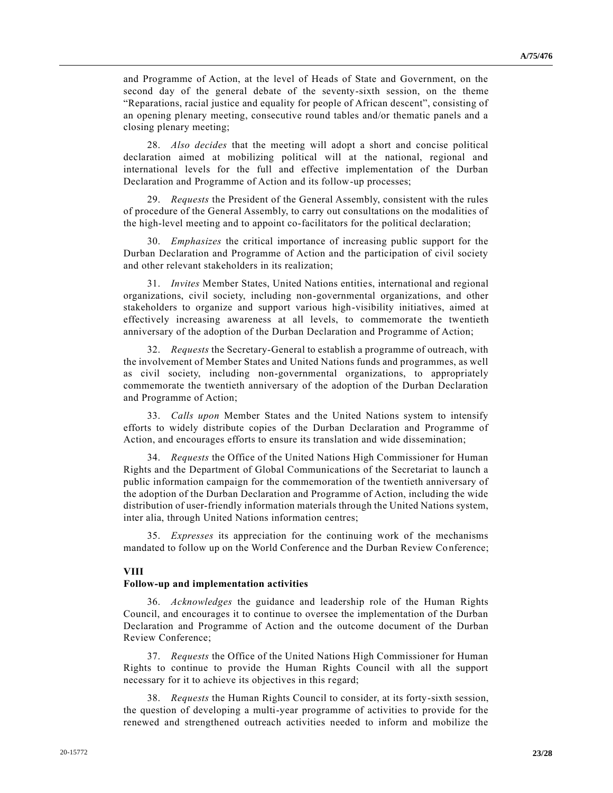and Programme of Action, at the level of Heads of State and Government, on the second day of the general debate of the seventy-sixth session, on the theme "Reparations, racial justice and equality for people of African descent", consisting of an opening plenary meeting, consecutive round tables and/or thematic panels and a closing plenary meeting;

28. *Also decides* that the meeting will adopt a short and concise political declaration aimed at mobilizing political will at the national, regional and international levels for the full and effective implementation of the Durban Declaration and Programme of Action and its follow-up processes;

29. *Requests* the President of the General Assembly, consistent with the rules of procedure of the General Assembly, to carry out consultations on the modalities of the high-level meeting and to appoint co-facilitators for the political declaration;

30. *Emphasizes* the critical importance of increasing public support for the Durban Declaration and Programme of Action and the participation of civil society and other relevant stakeholders in its realization;

31. *Invites* Member States, United Nations entities, international and regional organizations, civil society, including non-governmental organizations, and other stakeholders to organize and support various high-visibility initiatives, aimed at effectively increasing awareness at all levels, to commemorate the twentieth anniversary of the adoption of the Durban Declaration and Programme of Action;

32. *Requests* the Secretary-General to establish a programme of outreach, with the involvement of Member States and United Nations funds and programmes, as well as civil society, including non-governmental organizations, to appropriately commemorate the twentieth anniversary of the adoption of the Durban Declaration and Programme of Action;

33. *Calls upon* Member States and the United Nations system to intensify efforts to widely distribute copies of the Durban Declaration and Programme of Action, and encourages efforts to ensure its translation and wide dissemination;

34. *Requests* the Office of the United Nations High Commissioner for Human Rights and the Department of Global Communications of the Secretariat to launch a public information campaign for the commemoration of the twentieth anniversary of the adoption of the Durban Declaration and Programme of Action, including the wide distribution of user-friendly information materials through the United Nations system, inter alia, through United Nations information centres;

35. *Expresses* its appreciation for the continuing work of the mechanisms mandated to follow up on the World Conference and the Durban Review Conference;

### **VIII**

### **Follow-up and implementation activities**

36. *Acknowledges* the guidance and leadership role of the Human Rights Council, and encourages it to continue to oversee the implementation of the Durban Declaration and Programme of Action and the outcome document of the Durban Review Conference;

37. *Requests* the Office of the United Nations High Commissioner for Human Rights to continue to provide the Human Rights Council with all the support necessary for it to achieve its objectives in this regard;

38. *Requests* the Human Rights Council to consider, at its forty-sixth session, the question of developing a multi-year programme of activities to provide for the renewed and strengthened outreach activities needed to inform and mobilize the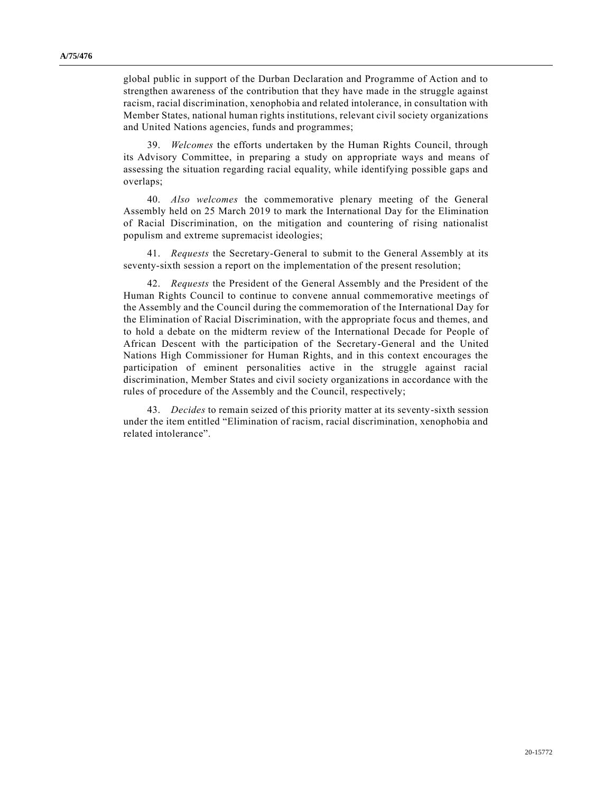global public in support of the Durban Declaration and Programme of Action and to strengthen awareness of the contribution that they have made in the struggle against racism, racial discrimination, xenophobia and related intolerance, in consultation with Member States, national human rights institutions, relevant civil society organizations and United Nations agencies, funds and programmes;

39. *Welcomes* the efforts undertaken by the Human Rights Council, through its Advisory Committee, in preparing a study on appropriate ways and means of assessing the situation regarding racial equality, while identifying possible gaps and overlaps;

40. *Also welcomes* the commemorative plenary meeting of the General Assembly held on 25 March 2019 to mark the International Day for the Elimination of Racial Discrimination, on the mitigation and countering of rising nationalist populism and extreme supremacist ideologies;

41. *Requests* the Secretary-General to submit to the General Assembly at its seventy-sixth session a report on the implementation of the present resolution;

42. *Requests* the President of the General Assembly and the President of the Human Rights Council to continue to convene annual commemorative meetings of the Assembly and the Council during the commemoration of the International Day for the Elimination of Racial Discrimination, with the appropriate focus and themes, and to hold a debate on the midterm review of the International Decade for People of African Descent with the participation of the Secretary-General and the United Nations High Commissioner for Human Rights, and in this context encourages the participation of eminent personalities active in the struggle against racial discrimination, Member States and civil society organizations in accordance with the rules of procedure of the Assembly and the Council, respectively;

43. *Decides* to remain seized of this priority matter at its seventy-sixth session under the item entitled "Elimination of racism, racial discrimination, xenophobia and related intolerance".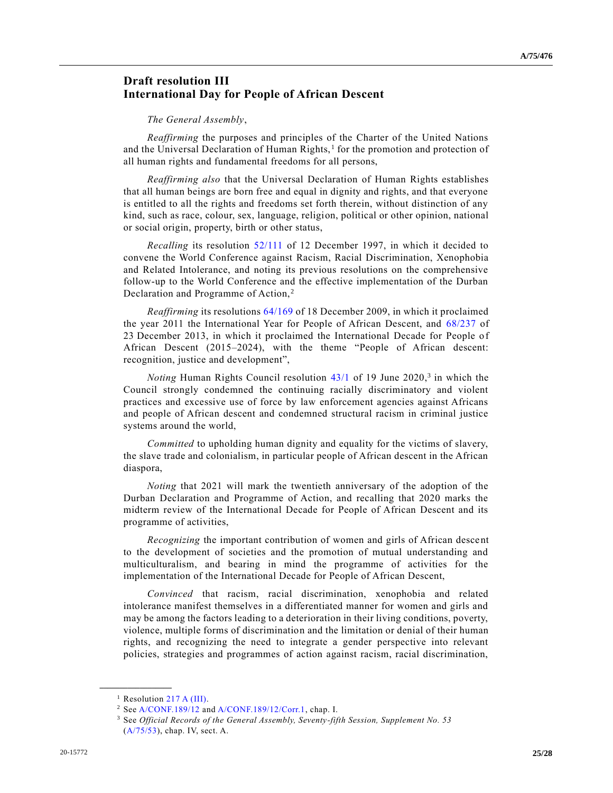# **Draft resolution III International Day for People of African Descent**

#### *The General Assembly*,

*Reaffirming* the purposes and principles of the Charter of the United Nations and the Universal Declaration of Human Rights,<sup>1</sup> for the promotion and protection of all human rights and fundamental freedoms for all persons,

*Reaffirming also* that the Universal Declaration of Human Rights establishes that all human beings are born free and equal in dignity and rights, and that everyone is entitled to all the rights and freedoms set forth therein, without distinction of any kind, such as race, colour, sex, language, religion, political or other opinion, national or social origin, property, birth or other status,

*Recalling* its resolution [52/111](https://undocs.org/en/A/RES/52/111) of 12 December 1997, in which it decided to convene the World Conference against Racism, Racial Discrimination, Xenophobia and Related Intolerance, and noting its previous resolutions on the comprehensive follow-up to the World Conference and the effective implementation of the Durban Declaration and Programme of Action,<sup>2</sup>

*Reaffirming* its resolutions [64/169](https://undocs.org/en/A/RES/64/169) of 18 December 2009, in which it proclaimed the year 2011 the International Year for People of African Descent, and [68/237](https://undocs.org/en/A/RES/68/237) of 23 December 2013, in which it proclaimed the International Decade for People of African Descent (2015–2024), with the theme "People of African descent: recognition, justice and development",

*Noting* Human Rights Council resolution [43/1](https://undocs.org/en/A/HRC/RES/43/1) of 19 June 2020, 3 in which the Council strongly condemned the continuing racially discriminatory and violent practices and excessive use of force by law enforcement agencies against Africans and people of African descent and condemned structural racism in criminal justice systems around the world,

*Committed* to upholding human dignity and equality for the victims of slavery, the slave trade and colonialism, in particular people of African descent in the African diaspora,

*Noting* that 2021 will mark the twentieth anniversary of the adoption of the Durban Declaration and Programme of Action, and recalling that 2020 marks the midterm review of the International Decade for People of African Descent and its programme of activities,

*Recognizing* the important contribution of women and girls of African descent to the development of societies and the promotion of mutual understanding and multiculturalism, and bearing in mind the programme of activities for the implementation of the International Decade for People of African Descent,

*Convinced* that racism, racial discrimination, xenophobia and related intolerance manifest themselves in a differentiated manner for women and girls and may be among the factors leading to a deterioration in their living conditions, poverty, violence, multiple forms of discrimination and the limitation or denial of their human rights, and recognizing the need to integrate a gender perspective into relevant policies, strategies and programmes of action against racism, racial discrimination,

 $<sup>1</sup>$  Resolution [217 A \(III\).](https://undocs.org/en/A/RES/217(III))</sup>

<sup>2</sup> Se[e A/CONF.189/12](https://undocs.org/en/A/CONF.189/12) an[d A/CONF.189/12/Corr.1,](https://undocs.org/en/A/CONF.189/12/Corr.1) chap. I.

<sup>3</sup> See *Official Records of the General Assembly, Seventy-fifth Session, Supplement No. 53* [\(A/75/53\)](https://undocs.org/en/A/75/53), chap. IV, sect. A.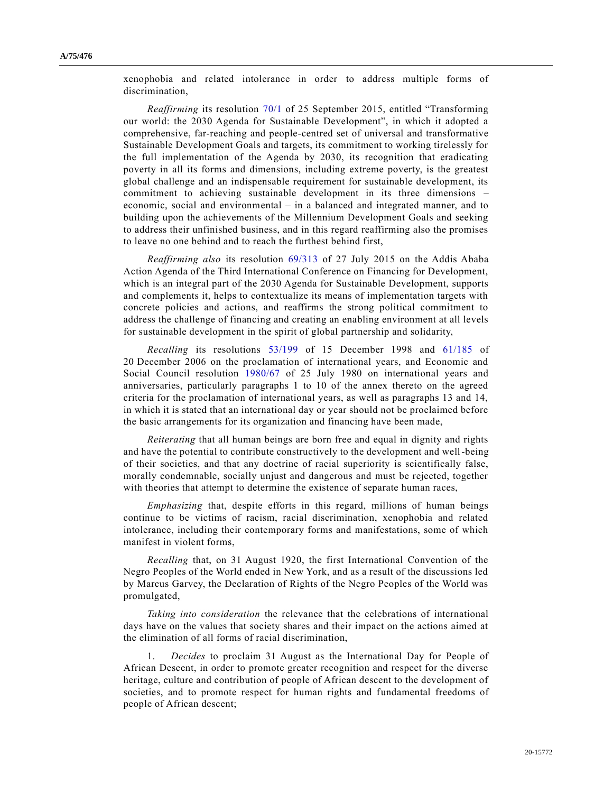xenophobia and related intolerance in order to address multiple forms of discrimination,

*Reaffirming* its resolution [70/1](https://undocs.org/en/A/RES/70/1) of 25 September 2015, entitled "Transforming our world: the 2030 Agenda for Sustainable Development", in which it adopted a comprehensive, far-reaching and people-centred set of universal and transformative Sustainable Development Goals and targets, its commitment to working tirelessly for the full implementation of the Agenda by 2030, its recognition that eradicating poverty in all its forms and dimensions, including extreme poverty, is the greatest global challenge and an indispensable requirement for sustainable development, its commitment to achieving sustainable development in its three dimensions – economic, social and environmental – in a balanced and integrated manner, and to building upon the achievements of the Millennium Development Goals and seeking to address their unfinished business, and in this regard reaffirming also the promises to leave no one behind and to reach the furthest behind first,

*Reaffirming also* its resolution [69/313](https://undocs.org/en/A/RES/69/313) of 27 July 2015 on the Addis Ababa Action Agenda of the Third International Conference on Financing for Development, which is an integral part of the 2030 Agenda for Sustainable Development, supports and complements it, helps to contextualize its means of implementation targets with concrete policies and actions, and reaffirms the strong political commitment to address the challenge of financing and creating an enabling environment at all levels for sustainable development in the spirit of global partnership and solidarity,

*Recalling* its resolutions [53/199](https://undocs.org/en/A/RES/53/199) of 15 December 1998 and [61/185](https://undocs.org/en/A/RES/61/185) of 20 December 2006 on the proclamation of international years, and Economic and Social Council resolution [1980/67](https://undocs.org/en/E/RES/1980/67) of 25 July 1980 on international years and anniversaries, particularly paragraphs 1 to 10 of the annex thereto on the agreed criteria for the proclamation of international years, as well as paragraphs 13 and 14, in which it is stated that an international day or year should not be proclaimed before the basic arrangements for its organization and financing have been made,

*Reiterating* that all human beings are born free and equal in dignity and rights and have the potential to contribute constructively to the development and well-being of their societies, and that any doctrine of racial superiority is scientifically false, morally condemnable, socially unjust and dangerous and must be rejected, together with theories that attempt to determine the existence of separate human races,

*Emphasizing* that, despite efforts in this regard, millions of human beings continue to be victims of racism, racial discrimination, xenophobia and related intolerance, including their contemporary forms and manifestations, some of which manifest in violent forms,

*Recalling* that, on 31 August 1920, the first International Convention of the Negro Peoples of the World ended in New York, and as a result of the discussions led by Marcus Garvey, the Declaration of Rights of the Negro Peoples of the World was promulgated,

*Taking into consideration* the relevance that the celebrations of international days have on the values that society shares and their impact on the actions aimed at the elimination of all forms of racial discrimination,

1. *Decides* to proclaim 31 August as the International Day for People of African Descent, in order to promote greater recognition and respect for the diverse heritage, culture and contribution of people of African descent to the development of societies, and to promote respect for human rights and fundamental freedoms of people of African descent;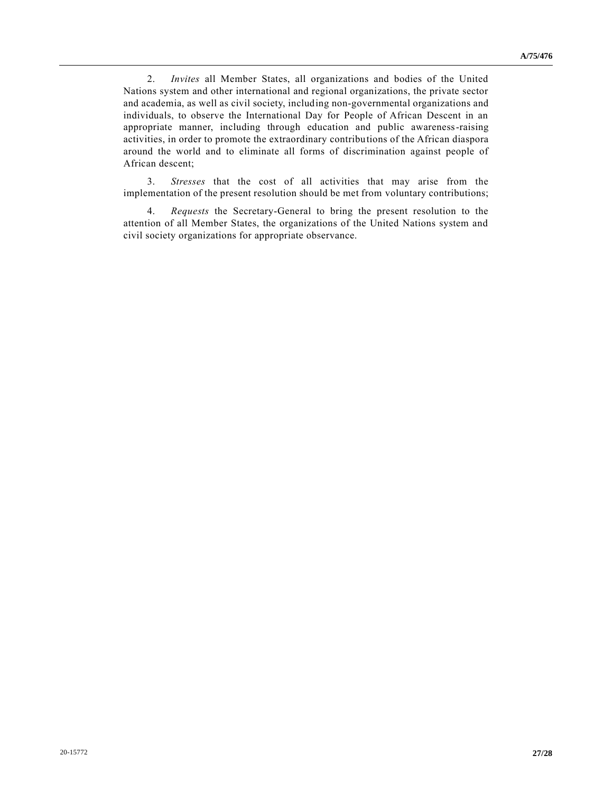2. *Invites* all Member States, all organizations and bodies of the United Nations system and other international and regional organizations, the private sector and academia, as well as civil society, including non-governmental organizations and individuals, to observe the International Day for People of African Descent in an appropriate manner, including through education and public awareness-raising activities, in order to promote the extraordinary contributions of the African diaspora around the world and to eliminate all forms of discrimination against people of African descent;

3. *Stresses* that the cost of all activities that may arise from the implementation of the present resolution should be met from voluntary contributions;

4. *Requests* the Secretary-General to bring the present resolution to the attention of all Member States, the organizations of the United Nations system and civil society organizations for appropriate observance.